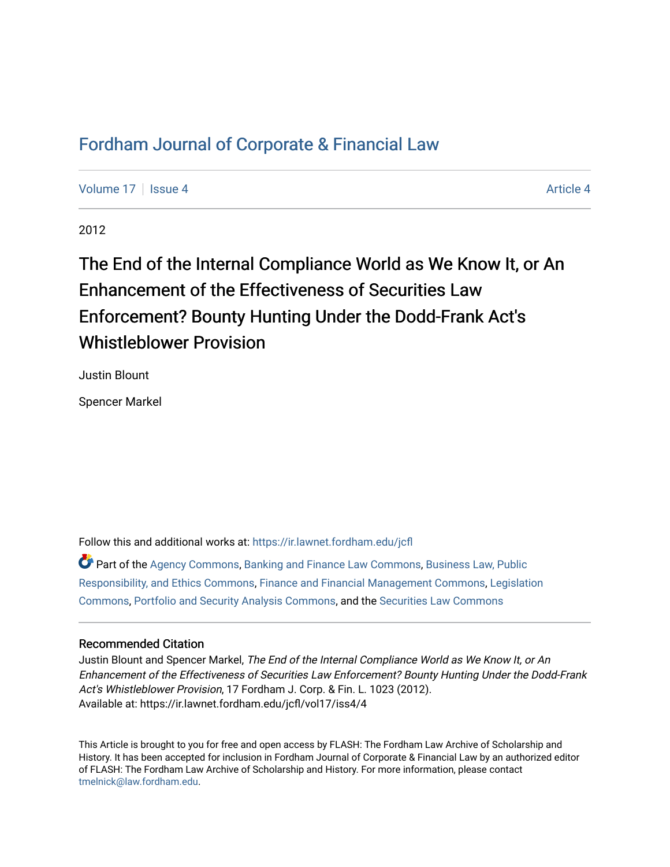## [Fordham Journal of Corporate & Financial Law](https://ir.lawnet.fordham.edu/jcfl)

[Volume 17](https://ir.lawnet.fordham.edu/jcfl/vol17) Setupate 4 [Article 4](https://ir.lawnet.fordham.edu/jcfl/vol17/iss4/4) Article 4 Article 4 Article 4 Article 4

2012

# The End of the Internal Compliance World as We Know It, or An Enhancement of the Effectiveness of Securities Law Enforcement? Bounty Hunting Under the Dodd-Frank Act's Whistleblower Provision

Justin Blount

Spencer Markel

Follow this and additional works at: [https://ir.lawnet.fordham.edu/jcfl](https://ir.lawnet.fordham.edu/jcfl?utm_source=ir.lawnet.fordham.edu%2Fjcfl%2Fvol17%2Fiss4%2F4&utm_medium=PDF&utm_campaign=PDFCoverPages) 

Part of the [Agency Commons,](http://network.bepress.com/hgg/discipline/829?utm_source=ir.lawnet.fordham.edu%2Fjcfl%2Fvol17%2Fiss4%2F4&utm_medium=PDF&utm_campaign=PDFCoverPages) [Banking and Finance Law Commons,](http://network.bepress.com/hgg/discipline/833?utm_source=ir.lawnet.fordham.edu%2Fjcfl%2Fvol17%2Fiss4%2F4&utm_medium=PDF&utm_campaign=PDFCoverPages) [Business Law, Public](http://network.bepress.com/hgg/discipline/628?utm_source=ir.lawnet.fordham.edu%2Fjcfl%2Fvol17%2Fiss4%2F4&utm_medium=PDF&utm_campaign=PDFCoverPages)  [Responsibility, and Ethics Commons,](http://network.bepress.com/hgg/discipline/628?utm_source=ir.lawnet.fordham.edu%2Fjcfl%2Fvol17%2Fiss4%2F4&utm_medium=PDF&utm_campaign=PDFCoverPages) [Finance and Financial Management Commons,](http://network.bepress.com/hgg/discipline/631?utm_source=ir.lawnet.fordham.edu%2Fjcfl%2Fvol17%2Fiss4%2F4&utm_medium=PDF&utm_campaign=PDFCoverPages) [Legislation](http://network.bepress.com/hgg/discipline/859?utm_source=ir.lawnet.fordham.edu%2Fjcfl%2Fvol17%2Fiss4%2F4&utm_medium=PDF&utm_campaign=PDFCoverPages)  [Commons](http://network.bepress.com/hgg/discipline/859?utm_source=ir.lawnet.fordham.edu%2Fjcfl%2Fvol17%2Fiss4%2F4&utm_medium=PDF&utm_campaign=PDFCoverPages), [Portfolio and Security Analysis Commons,](http://network.bepress.com/hgg/discipline/640?utm_source=ir.lawnet.fordham.edu%2Fjcfl%2Fvol17%2Fiss4%2F4&utm_medium=PDF&utm_campaign=PDFCoverPages) and the [Securities Law Commons](http://network.bepress.com/hgg/discipline/619?utm_source=ir.lawnet.fordham.edu%2Fjcfl%2Fvol17%2Fiss4%2F4&utm_medium=PDF&utm_campaign=PDFCoverPages)

## Recommended Citation

Justin Blount and Spencer Markel, The End of the Internal Compliance World as We Know It, or An Enhancement of the Effectiveness of Securities Law Enforcement? Bounty Hunting Under the Dodd-Frank Act's Whistleblower Provision, 17 Fordham J. Corp. & Fin. L. 1023 (2012). Available at: https://ir.lawnet.fordham.edu/jcfl/vol17/iss4/4

This Article is brought to you for free and open access by FLASH: The Fordham Law Archive of Scholarship and History. It has been accepted for inclusion in Fordham Journal of Corporate & Financial Law by an authorized editor of FLASH: The Fordham Law Archive of Scholarship and History. For more information, please contact [tmelnick@law.fordham.edu](mailto:tmelnick@law.fordham.edu).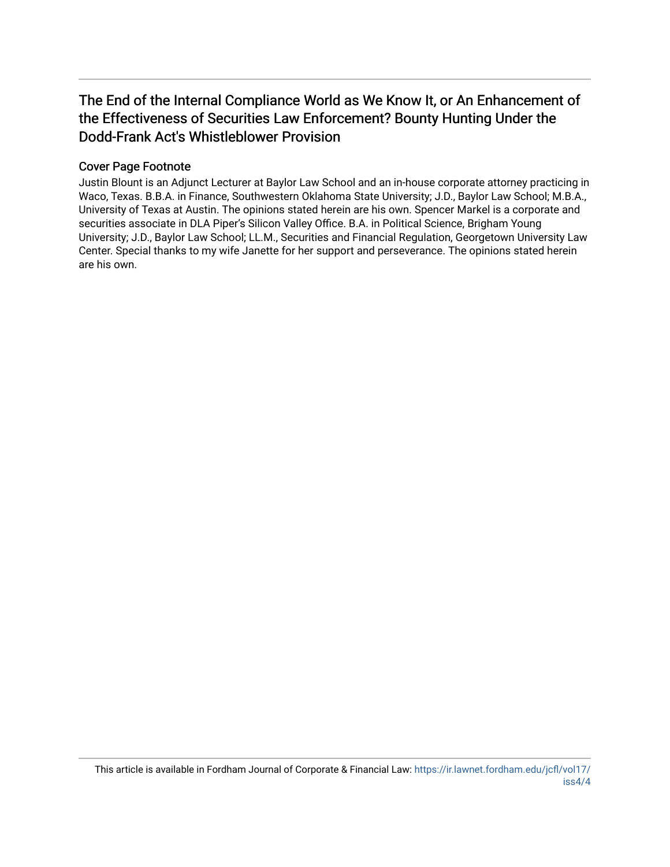## The End of the Internal Compliance World as We Know It, or An Enhancement of the Effectiveness of Securities Law Enforcement? Bounty Hunting Under the Dodd-Frank Act's Whistleblower Provision

## Cover Page Footnote

Justin Blount is an Adjunct Lecturer at Baylor Law School and an in-house corporate attorney practicing in Waco, Texas. B.B.A. in Finance, Southwestern Oklahoma State University; J.D., Baylor Law School; M.B.A., University of Texas at Austin. The opinions stated herein are his own. Spencer Markel is a corporate and securities associate in DLA Piper's Silicon Valley Office. B.A. in Political Science, Brigham Young University; J.D., Baylor Law School; LL.M., Securities and Financial Regulation, Georgetown University Law Center. Special thanks to my wife Janette for her support and perseverance. The opinions stated herein are his own.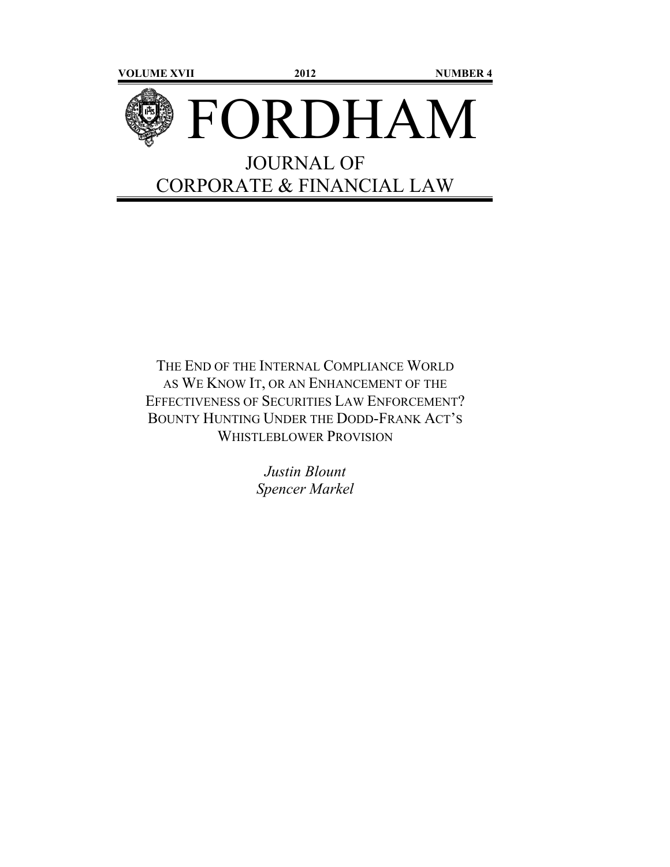

THE END OF THE INTERNAL COMPLIANCE WORLD AS WE KNOW IT, OR AN ENHANCEMENT OF THE EFFECTIVENESS OF SECURITIES LAW ENFORCEMENT? BOUNTY HUNTING UNDER THE DODD-FRANK ACT'S WHISTLEBLOWER PROVISION

> *Justin Blount Spencer Markel*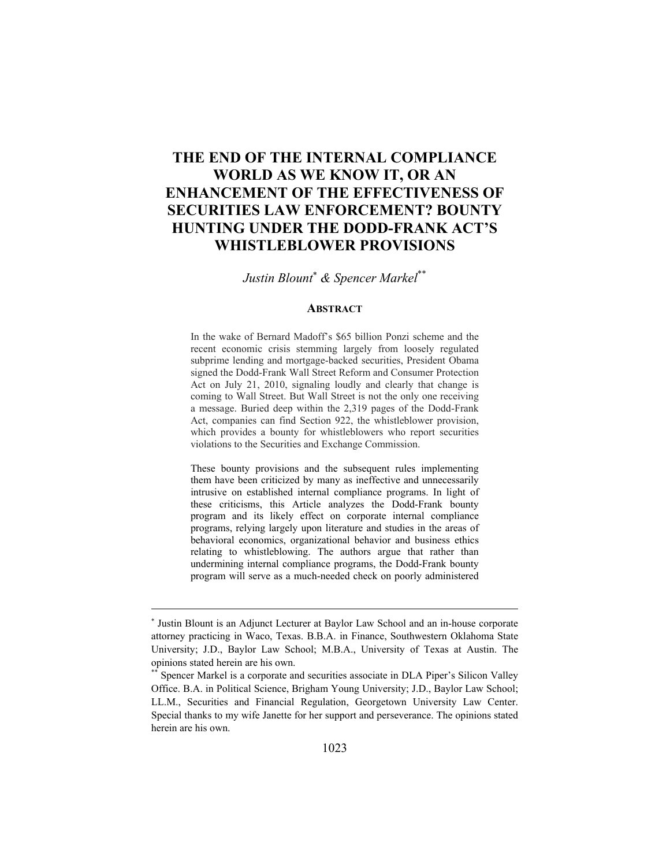## **THE END OF THE INTERNAL COMPLIANCE WORLD AS WE KNOW IT, OR AN ENHANCEMENT OF THE EFFECTIVENESS OF SECURITIES LAW ENFORCEMENT? BOUNTY HUNTING UNDER THE DODD-FRANK ACT'S WHISTLEBLOWER PROVISIONS**

*Justin Blount & Spencer Markel*\*\*

#### **ABSTRACT**

In the wake of Bernard Madoff's \$65 billion Ponzi scheme and the recent economic crisis stemming largely from loosely regulated subprime lending and mortgage-backed securities, President Obama signed the Dodd-Frank Wall Street Reform and Consumer Protection Act on July 21, 2010, signaling loudly and clearly that change is coming to Wall Street. But Wall Street is not the only one receiving a message. Buried deep within the 2,319 pages of the Dodd-Frank Act, companies can find Section 922, the whistleblower provision, which provides a bounty for whistleblowers who report securities violations to the Securities and Exchange Commission.

These bounty provisions and the subsequent rules implementing them have been criticized by many as ineffective and unnecessarily intrusive on established internal compliance programs. In light of these criticisms, this Article analyzes the Dodd-Frank bounty program and its likely effect on corporate internal compliance programs, relying largely upon literature and studies in the areas of behavioral economics, organizational behavior and business ethics relating to whistleblowing. The authors argue that rather than undermining internal compliance programs, the Dodd-Frank bounty program will serve as a much-needed check on poorly administered

<u> 1989 - Johann Stein, marwolaethau a bhann an t-Amhain an t-Amhain an t-Amhain an t-Amhain an t-Amhain an t-A</u>

<sup>\*</sup> Justin Blount is an Adjunct Lecturer at Baylor Law School and an in-house corporate attorney practicing in Waco, Texas. B.B.A. in Finance, Southwestern Oklahoma State University; J.D., Baylor Law School; M.B.A., University of Texas at Austin. The opinions stated herein are his own.

Spencer Markel is a corporate and securities associate in DLA Piper's Silicon Valley Office. B.A. in Political Science, Brigham Young University; J.D., Baylor Law School; LL.M., Securities and Financial Regulation, Georgetown University Law Center. Special thanks to my wife Janette for her support and perseverance. The opinions stated herein are his own.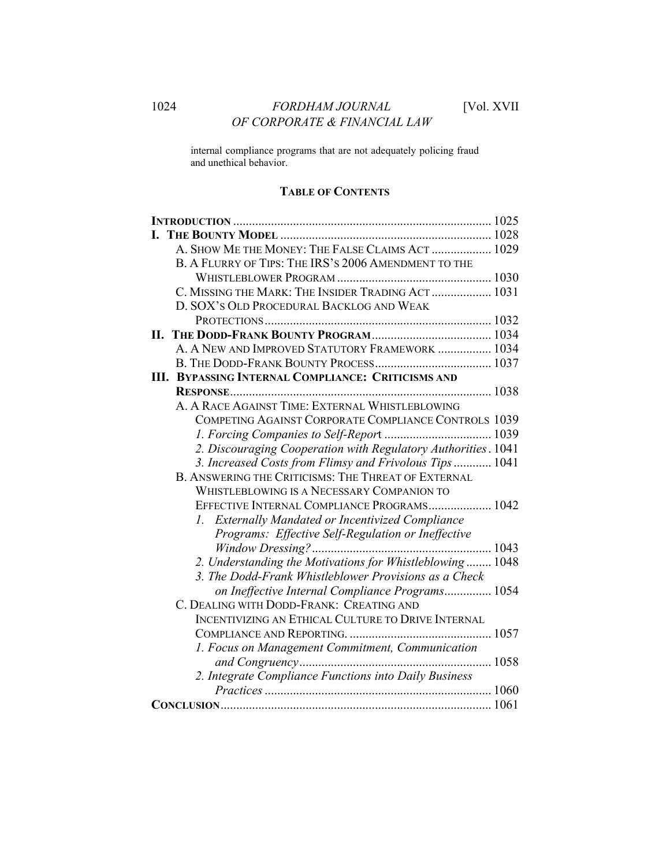internal compliance programs that are not adequately policing fraud and unethical behavior.

## **TABLE OF CONTENTS**

| A. SHOW ME THE MONEY: THE FALSE CLAIMS ACT  1029              |  |
|---------------------------------------------------------------|--|
| B. A FLURRY OF TIPS: THE IRS'S 2006 AMENDMENT TO THE          |  |
|                                                               |  |
| C. MISSING THE MARK: THE INSIDER TRADING ACT  1031            |  |
| D. SOX'S OLD PROCEDURAL BACKLOG AND WEAK                      |  |
|                                                               |  |
|                                                               |  |
| A. A NEW AND IMPROVED STATUTORY FRAMEWORK  1034               |  |
|                                                               |  |
| <b>III. BYPASSING INTERNAL COMPLIANCE: CRITICISMS AND</b>     |  |
|                                                               |  |
| A. A RACE AGAINST TIME: EXTERNAL WHISTLEBLOWING               |  |
| COMPETING AGAINST CORPORATE COMPLIANCE CONTROLS 1039          |  |
|                                                               |  |
| 2. Discouraging Cooperation with Regulatory Authorities. 1041 |  |
| 3. Increased Costs from Flimsy and Frivolous Tips  1041       |  |
| <b>B. ANSWERING THE CRITICISMS: THE THREAT OF EXTERNAL</b>    |  |
| WHISTLEBLOWING IS A NECESSARY COMPANION TO                    |  |
| EFFECTIVE INTERNAL COMPLIANCE PROGRAMS 1042                   |  |
| 1. Externally Mandated or Incentivized Compliance             |  |
| Programs: Effective Self-Regulation or Ineffective            |  |
|                                                               |  |
| 2. Understanding the Motivations for Whistleblowing 1048      |  |
| 3. The Dodd-Frank Whistleblower Provisions as a Check         |  |
| on Ineffective Internal Compliance Programs 1054              |  |
| C. DEALING WITH DODD-FRANK: CREATING AND                      |  |
| INCENTIVIZING AN ETHICAL CULTURE TO DRIVE INTERNAL            |  |
|                                                               |  |
| 1. Focus on Management Commitment, Communication              |  |
|                                                               |  |
| 2. Integrate Compliance Functions into Daily Business         |  |
|                                                               |  |
|                                                               |  |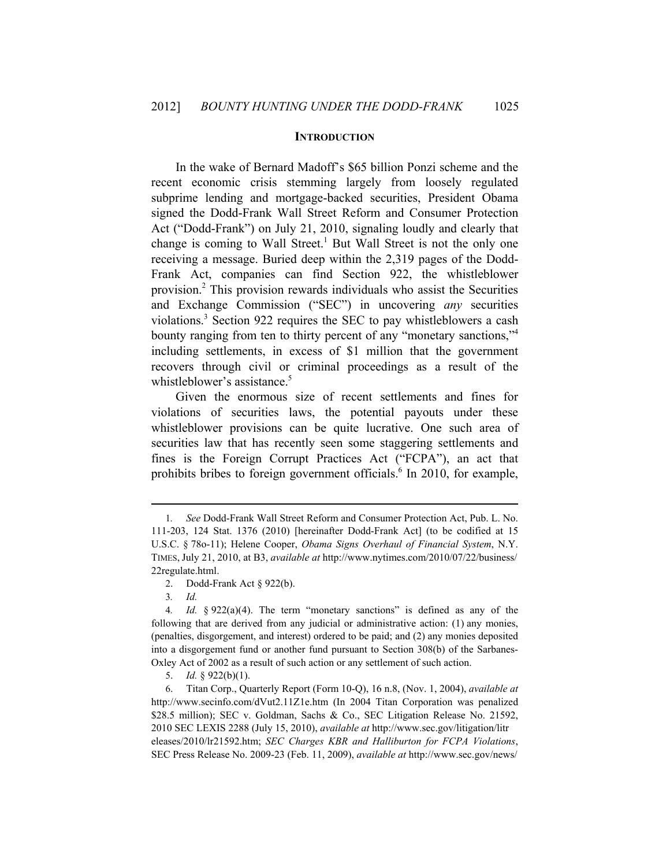#### **INTRODUCTION**

In the wake of Bernard Madoff's \$65 billion Ponzi scheme and the recent economic crisis stemming largely from loosely regulated subprime lending and mortgage-backed securities, President Obama signed the Dodd-Frank Wall Street Reform and Consumer Protection Act ("Dodd-Frank") on July 21, 2010, signaling loudly and clearly that change is coming to Wall Street.<sup>1</sup> But Wall Street is not the only one receiving a message. Buried deep within the 2,319 pages of the Dodd-Frank Act, companies can find Section 922, the whistleblower provision.2 This provision rewards individuals who assist the Securities and Exchange Commission ("SEC") in uncovering *any* securities violations.3 Section 922 requires the SEC to pay whistleblowers a cash bounty ranging from ten to thirty percent of any "monetary sanctions,"4 including settlements, in excess of \$1 million that the government recovers through civil or criminal proceedings as a result of the whistleblower's assistance.<sup>5</sup>

Given the enormous size of recent settlements and fines for violations of securities laws, the potential payouts under these whistleblower provisions can be quite lucrative. One such area of securities law that has recently seen some staggering settlements and fines is the Foreign Corrupt Practices Act ("FCPA"), an act that prohibits bribes to foreign government officials.<sup>6</sup> In 2010, for example,

<u> 1989 - Johann Stein, marwolaethau a bhann an t-Amhain an t-Amhain an t-Amhain an t-Amhain an t-Amhain an t-A</u>

3*. Id.*

<sup>1</sup>*. See* Dodd-Frank Wall Street Reform and Consumer Protection Act, Pub. L. No. 111-203, 124 Stat. 1376 (2010) [hereinafter Dodd-Frank Act] (to be codified at 15 U.S.C. § 78o-11); Helene Cooper, *Obama Signs Overhaul of Financial System*, N.Y. TIMES, July 21, 2010, at B3, *available at* http://www.nytimes.com/2010/07/22/business/ 22regulate.html.

<sup>2.</sup> Dodd-Frank Act § 922(b).

<sup>4</sup>*. Id.* § 922(a)(4). The term "monetary sanctions" is defined as any of the following that are derived from any judicial or administrative action: (1) any monies, (penalties, disgorgement, and interest) ordered to be paid; and (2) any monies deposited into a disgorgement fund or another fund pursuant to Section 308(b) of the Sarbanes-Oxley Act of 2002 as a result of such action or any settlement of such action.

<sup>5.</sup> *Id.* § 922(b)(1).

<sup>6.</sup> Titan Corp., Quarterly Report (Form 10-Q), 16 n.8, (Nov. 1, 2004), *available at* http://www.secinfo.com/dVut2.11Z1e.htm (In 2004 Titan Corporation was penalized \$28.5 million); SEC v. Goldman, Sachs & Co., SEC Litigation Release No. 21592, 2010 SEC LEXIS 2288 (July 15, 2010), *available at* http://www.sec.gov/litigation/litr eleases/2010/lr21592.htm; *SEC Charges KBR and Halliburton for FCPA Violations*, SEC Press Release No. 2009-23 (Feb. 11, 2009), *available at* http://www.sec.gov/news/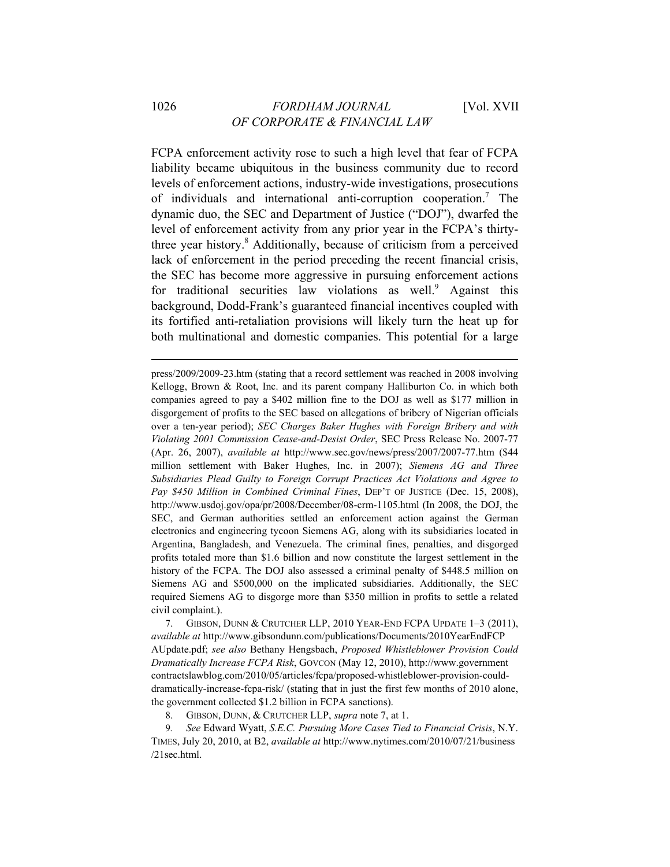FCPA enforcement activity rose to such a high level that fear of FCPA liability became ubiquitous in the business community due to record levels of enforcement actions, industry-wide investigations, prosecutions of individuals and international anti-corruption cooperation.7 The dynamic duo, the SEC and Department of Justice ("DOJ"), dwarfed the level of enforcement activity from any prior year in the FCPA's thirtythree year history.<sup>8</sup> Additionally, because of criticism from a perceived lack of enforcement in the period preceding the recent financial crisis, the SEC has become more aggressive in pursuing enforcement actions for traditional securities law violations as well.<sup>9</sup> Against this background, Dodd-Frank's guaranteed financial incentives coupled with its fortified anti-retaliation provisions will likely turn the heat up for both multinational and domestic companies. This potential for a large

<u> 1989 - Johann Barn, mars ann an t-Amhain ann an t-Amhain an t-Amhain an t-Amhain an t-Amhain an t-Amhain an t-</u>

press/2009/2009-23.htm (stating that a record settlement was reached in 2008 involving Kellogg, Brown & Root, Inc. and its parent company Halliburton Co. in which both companies agreed to pay a \$402 million fine to the DOJ as well as \$177 million in disgorgement of profits to the SEC based on allegations of bribery of Nigerian officials over a ten-year period); *SEC Charges Baker Hughes with Foreign Bribery and with Violating 2001 Commission Cease-and-Desist Order*, SEC Press Release No. 2007-77 (Apr. 26, 2007), *available at* http://www.sec.gov/news/press/2007/2007-77.htm (\$44 million settlement with Baker Hughes, Inc. in 2007); *Siemens AG and Three Subsidiaries Plead Guilty to Foreign Corrupt Practices Act Violations and Agree to Pay \$450 Million in Combined Criminal Fines*, DEP'T OF JUSTICE (Dec. 15, 2008), http://www.usdoj.gov/opa/pr/2008/December/08-crm-1105.html (In 2008, the DOJ, the SEC, and German authorities settled an enforcement action against the German electronics and engineering tycoon Siemens AG, along with its subsidiaries located in Argentina, Bangladesh, and Venezuela. The criminal fines, penalties, and disgorged profits totaled more than \$1.6 billion and now constitute the largest settlement in the history of the FCPA. The DOJ also assessed a criminal penalty of \$448.5 million on Siemens AG and \$500,000 on the implicated subsidiaries. Additionally, the SEC required Siemens AG to disgorge more than \$350 million in profits to settle a related civil complaint.).

7. GIBSON, DUNN & CRUTCHER LLP, 2010 YEAR-END FCPA UPDATE 1–3 (2011), *available at* http://www.gibsondunn.com/publications/Documents/2010YearEndFCP AUpdate.pdf; *see also* Bethany Hengsbach, *Proposed Whistleblower Provision Could Dramatically Increase FCPA Risk*, GOVCON (May 12, 2010), http://www.government contractslawblog.com/2010/05/articles/fcpa/proposed-whistleblower-provision-coulddramatically-increase-fcpa-risk/ (stating that in just the first few months of 2010 alone, the government collected \$1.2 billion in FCPA sanctions).

8. GIBSON, DUNN, & CRUTCHER LLP, *supra* note 7, at 1.

9*. See* Edward Wyatt, *S.E.C. Pursuing More Cases Tied to Financial Crisis*, N.Y. TIMES, July 20, 2010, at B2, *available at* http://www.nytimes.com/2010/07/21/business /21sec.html.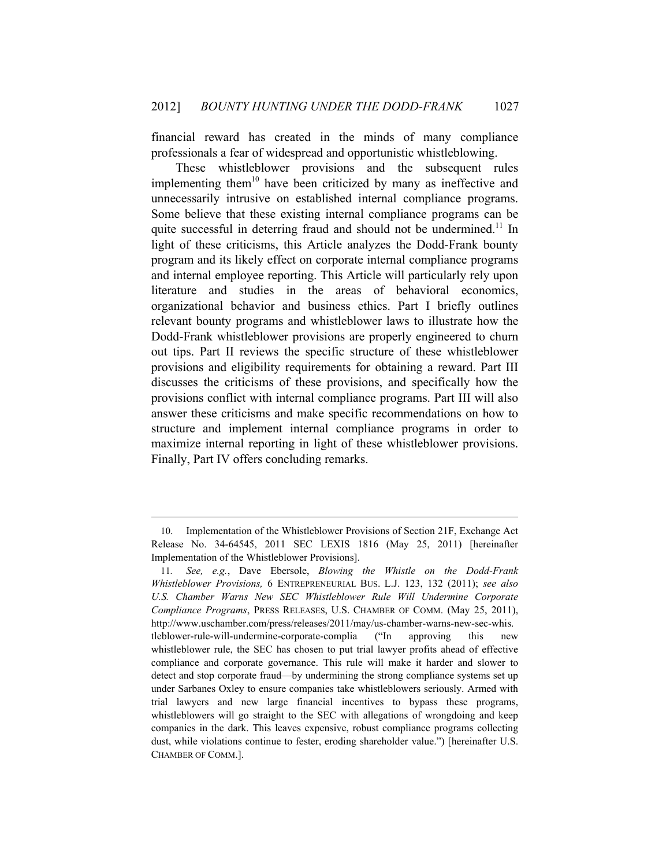financial reward has created in the minds of many compliance professionals a fear of widespread and opportunistic whistleblowing.

These whistleblower provisions and the subsequent rules implementing them<sup>10</sup> have been criticized by many as ineffective and unnecessarily intrusive on established internal compliance programs. Some believe that these existing internal compliance programs can be quite successful in deterring fraud and should not be undermined.<sup>11</sup> In light of these criticisms, this Article analyzes the Dodd-Frank bounty program and its likely effect on corporate internal compliance programs and internal employee reporting. This Article will particularly rely upon literature and studies in the areas of behavioral economics, organizational behavior and business ethics. Part I briefly outlines relevant bounty programs and whistleblower laws to illustrate how the Dodd-Frank whistleblower provisions are properly engineered to churn out tips. Part II reviews the specific structure of these whistleblower provisions and eligibility requirements for obtaining a reward. Part III discusses the criticisms of these provisions, and specifically how the provisions conflict with internal compliance programs. Part III will also answer these criticisms and make specific recommendations on how to structure and implement internal compliance programs in order to maximize internal reporting in light of these whistleblower provisions. Finally, Part IV offers concluding remarks.

<u> 1989 - Johann Barn, mars ann an t-Amhain ann an t-Amhain an t-Amhain an t-Amhain an t-Amhain an t-Amhain an t-</u>

<sup>10.</sup> Implementation of the Whistleblower Provisions of Section 21F, Exchange Act Release No. 34-64545, 2011 SEC LEXIS 1816 (May 25, 2011) [hereinafter Implementation of the Whistleblower Provisions].

<sup>11</sup>*. See, e.g.*, Dave Ebersole, *Blowing the Whistle on the Dodd-Frank Whistleblower Provisions,* 6 ENTREPRENEURIAL BUS. L.J. 123, 132 (2011); *see also U.S. Chamber Warns New SEC Whistleblower Rule Will Undermine Corporate Compliance Programs*, PRESS RELEASES, U.S. CHAMBER OF COMM. (May 25, 2011), http://www.uschamber.com/press/releases/2011/may/us-chamber-warns-new-sec-whis. tleblower-rule-will-undermine-corporate-complia ("In approving this new whistleblower rule, the SEC has chosen to put trial lawyer profits ahead of effective compliance and corporate governance. This rule will make it harder and slower to detect and stop corporate fraud—by undermining the strong compliance systems set up under Sarbanes Oxley to ensure companies take whistleblowers seriously. Armed with trial lawyers and new large financial incentives to bypass these programs, whistleblowers will go straight to the SEC with allegations of wrongdoing and keep companies in the dark. This leaves expensive, robust compliance programs collecting dust, while violations continue to fester, eroding shareholder value.") [hereinafter U.S. CHAMBER OF COMM.].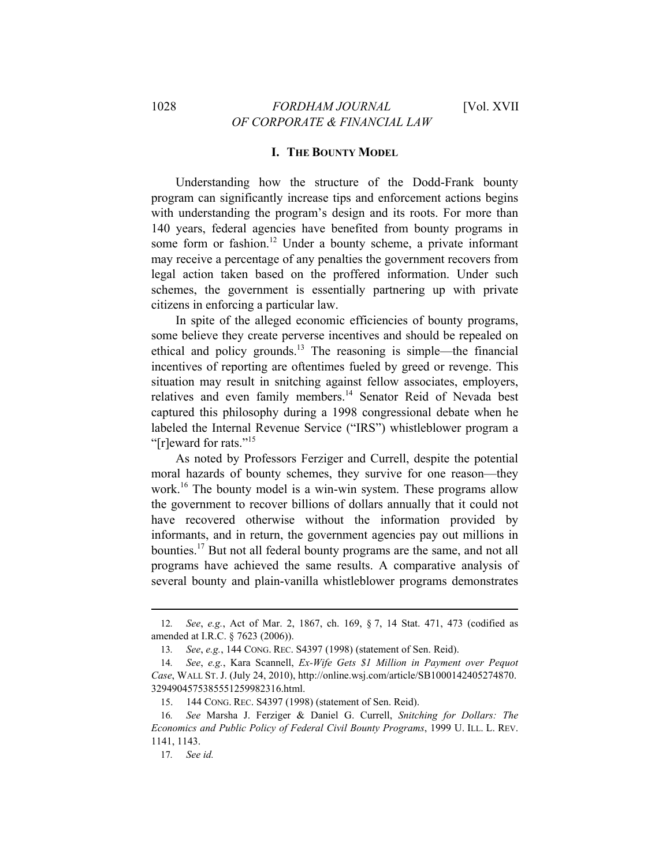### **I. THE BOUNTY MODEL**

Understanding how the structure of the Dodd-Frank bounty program can significantly increase tips and enforcement actions begins with understanding the program's design and its roots. For more than 140 years, federal agencies have benefited from bounty programs in some form or fashion.<sup>12</sup> Under a bounty scheme, a private informant may receive a percentage of any penalties the government recovers from legal action taken based on the proffered information. Under such schemes, the government is essentially partnering up with private citizens in enforcing a particular law.

In spite of the alleged economic efficiencies of bounty programs, some believe they create perverse incentives and should be repealed on ethical and policy grounds.<sup>13</sup> The reasoning is simple—the financial incentives of reporting are oftentimes fueled by greed or revenge. This situation may result in snitching against fellow associates, employers, relatives and even family members.<sup>14</sup> Senator Reid of Nevada best captured this philosophy during a 1998 congressional debate when he labeled the Internal Revenue Service ("IRS") whistleblower program a "[r]eward for rats."<sup>15</sup>

As noted by Professors Ferziger and Currell, despite the potential moral hazards of bounty schemes, they survive for one reason—they work.<sup>16</sup> The bounty model is a win-win system. These programs allow the government to recover billions of dollars annually that it could not have recovered otherwise without the information provided by informants, and in return, the government agencies pay out millions in bounties.<sup>17</sup> But not all federal bounty programs are the same, and not all programs have achieved the same results. A comparative analysis of several bounty and plain-vanilla whistleblower programs demonstrates

<sup>&</sup>lt;u> 1989 - Johann Barn, mars ann an t-Amhain ann an t-Amhain an t-Amhain an t-Amhain an t-Amhain an t-Amhain an t-</u> 12*. See*, *e.g.*, Act of Mar. 2, 1867, ch. 169, § 7, 14 Stat. 471, 473 (codified as amended at I.R.C. § 7623 (2006)).

<sup>13</sup>*. See*, *e.g.*, 144 CONG. REC. S4397 (1998) (statement of Sen. Reid).

<sup>14</sup>*. See*, *e.g.*, Kara Scannell, *Ex-Wife Gets \$1 Million in Payment over Pequot Case*, WALL ST. J. (July 24, 2010), http://online.wsj.com/article/SB1000142405274870. 3294904575385551259982316.html.

<sup>15. 144</sup> CONG. REC. S4397 (1998) (statement of Sen. Reid).

<sup>16</sup>*. See* Marsha J. Ferziger & Daniel G. Currell, *Snitching for Dollars: The Economics and Public Policy of Federal Civil Bounty Programs*, 1999 U. ILL. L. REV. 1141, 1143.

<sup>17</sup>*. See id.*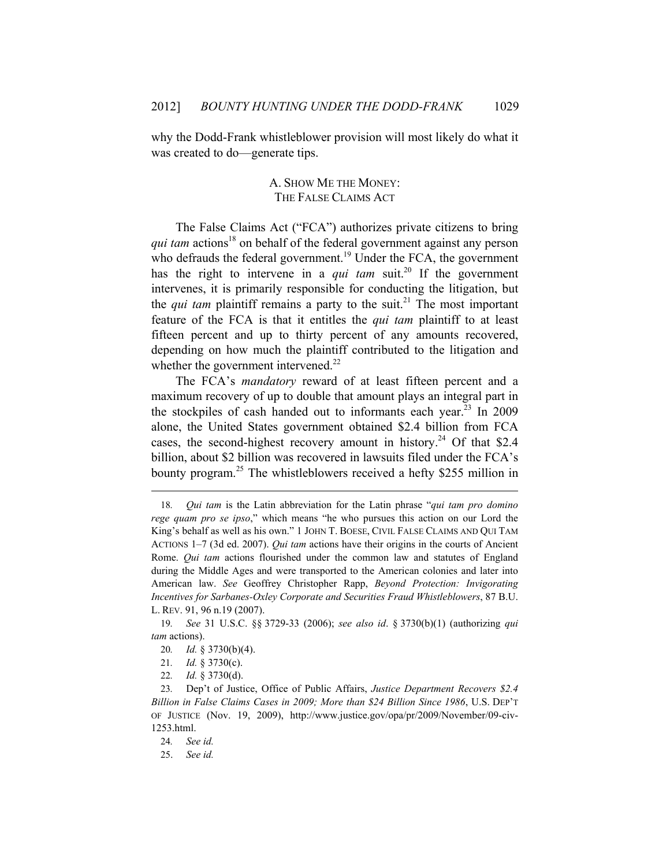why the Dodd-Frank whistleblower provision will most likely do what it was created to do—generate tips.

## A. SHOW ME THE MONEY: THE FALSE CLAIMS ACT

The False Claims Act ("FCA") authorizes private citizens to bring *qui tam actions*<sup>18</sup> on behalf of the federal government against any person who defrauds the federal government.<sup>19</sup> Under the FCA, the government has the right to intervene in a *qui tam* suit.<sup>20</sup> If the government intervenes, it is primarily responsible for conducting the litigation, but the *qui tam* plaintiff remains a party to the suit.<sup>21</sup> The most important feature of the FCA is that it entitles the *qui tam* plaintiff to at least fifteen percent and up to thirty percent of any amounts recovered, depending on how much the plaintiff contributed to the litigation and whether the government intervened.<sup>22</sup>

The FCA's *mandatory* reward of at least fifteen percent and a maximum recovery of up to double that amount plays an integral part in the stockpiles of cash handed out to informants each year.<sup>23</sup> In 2009 alone, the United States government obtained \$2.4 billion from FCA cases, the second-highest recovery amount in history.<sup>24</sup> Of that \$2.4 billion, about \$2 billion was recovered in lawsuits filed under the FCA's bounty program.<sup>25</sup> The whistleblowers received a hefty \$255 million in

<u> 1989 - Johann Barn, mars ann an t-Amhain ann an t-Amhain an t-Amhain an t-Amhain an t-Amhain an t-Amhain an t-</u>

- 20*. Id.* § 3730(b)(4).
- 21*. Id.* § 3730(c).
- 22*. Id.* § 3730(d).

<sup>18</sup>*. Qui tam* is the Latin abbreviation for the Latin phrase "*qui tam pro domino rege quam pro se ipso*," which means "he who pursues this action on our Lord the King's behalf as well as his own." 1 JOHN T. BOESE, CIVIL FALSE CLAIMS AND QUI TAM ACTIONS 1–7 (3d ed. 2007). *Qui tam* actions have their origins in the courts of Ancient Rome. *Qui tam* actions flourished under the common law and statutes of England during the Middle Ages and were transported to the American colonies and later into American law. *See* Geoffrey Christopher Rapp, *Beyond Protection: Invigorating Incentives for Sarbanes-Oxley Corporate and Securities Fraud Whistleblowers*, 87 B.U. L. REV. 91, 96 n.19 (2007).

<sup>19</sup>*. See* 31 U.S.C. §§ 3729-33 (2006); *see also id*. § 3730(b)(1) (authorizing *qui tam* actions).

<sup>23</sup>*.* Dep't of Justice, Office of Public Affairs, *Justice Department Recovers \$2.4 Billion in False Claims Cases in 2009; More than \$24 Billion Since 1986*, U.S. DEP'T OF JUSTICE (Nov. 19, 2009), http://www.justice.gov/opa/pr/2009/November/09-civ-1253.html.

<sup>24</sup>*. See id.*

<sup>25.</sup> *See id.*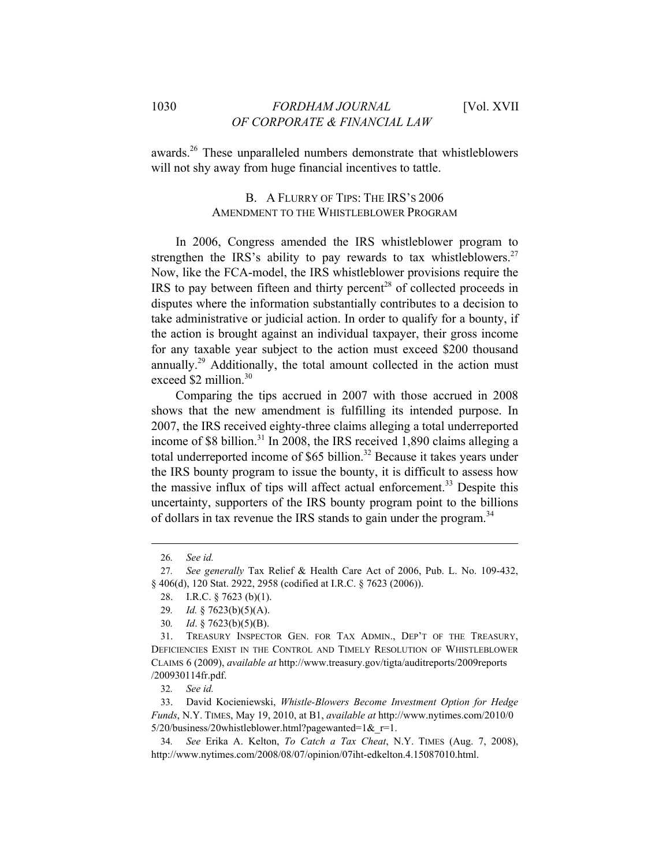awards.26 These unparalleled numbers demonstrate that whistleblowers will not shy away from huge financial incentives to tattle.

## B. A FLURRY OF TIPS: THE IRS'S 2006 AMENDMENT TO THE WHISTLEBLOWER PROGRAM

In 2006, Congress amended the IRS whistleblower program to strengthen the IRS's ability to pay rewards to tax whistleblowers.<sup>27</sup> Now, like the FCA-model, the IRS whistleblower provisions require the IRS to pay between fifteen and thirty percent<sup>28</sup> of collected proceeds in disputes where the information substantially contributes to a decision to take administrative or judicial action. In order to qualify for a bounty, if the action is brought against an individual taxpayer, their gross income for any taxable year subject to the action must exceed \$200 thousand annually.<sup>29</sup> Additionally, the total amount collected in the action must exceed \$2 million.<sup>30</sup>

Comparing the tips accrued in 2007 with those accrued in 2008 shows that the new amendment is fulfilling its intended purpose. In 2007, the IRS received eighty-three claims alleging a total underreported income of \$8 billion.<sup>31</sup> In 2008, the IRS received 1,890 claims alleging a total underreported income of \$65 billion.<sup>32</sup> Because it takes years under the IRS bounty program to issue the bounty, it is difficult to assess how the massive influx of tips will affect actual enforcement.<sup>33</sup> Despite this uncertainty, supporters of the IRS bounty program point to the billions of dollars in tax revenue the IRS stands to gain under the program.<sup>34</sup>

<u> 1989 - Johann Barn, mars ann an t-Amhain ann an t-Amhain an t-Amhain an t-Amhain an t-Amhain an t-Amhain an t-</u>

<sup>26</sup>*. See id.*

<sup>27</sup>*. See generally* Tax Relief & Health Care Act of 2006, Pub. L. No. 109-432, § 406(d), 120 Stat. 2922, 2958 (codified at I.R.C. § 7623 (2006)).

<sup>28.</sup> I.R.C. § 7623 (b)(1).

<sup>29</sup>*. Id.* § 7623(b)(5)(A).

<sup>30</sup>*. Id*. § 7623(b)(5)(B).

<sup>31.</sup> TREASURY INSPECTOR GEN. FOR TAX ADMIN., DEP'T OF THE TREASURY, DEFICIENCIES EXIST IN THE CONTROL AND TIMELY RESOLUTION OF WHISTLEBLOWER CLAIMS 6 (2009), *available at* http://www.treasury.gov/tigta/auditreports/2009reports /200930114fr.pdf.

<sup>32</sup>*. See id.*

<sup>33.</sup> David Kocieniewski, *Whistle-Blowers Become Investment Option for Hedge Funds*, N.Y. TIMES, May 19, 2010, at B1, *available at* http://www.nytimes.com/2010/0  $5/20$ /business/20whistleblower.html?pagewanted=1& $r=1$ .

<sup>34</sup>*. See* Erika A. Kelton, *To Catch a Tax Cheat*, N.Y. TIMES (Aug. 7, 2008), http://www.nytimes.com/2008/08/07/opinion/07iht-edkelton.4.15087010.html.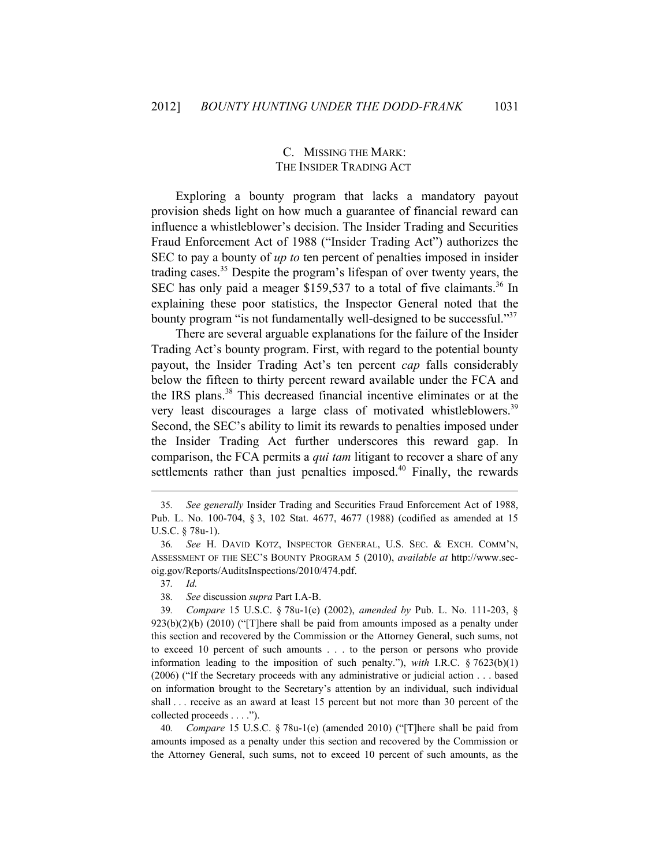## C. MISSING THE MARK: THE INSIDER TRADING ACT

Exploring a bounty program that lacks a mandatory payout provision sheds light on how much a guarantee of financial reward can influence a whistleblower's decision. The Insider Trading and Securities Fraud Enforcement Act of 1988 ("Insider Trading Act") authorizes the SEC to pay a bounty of *up to* ten percent of penalties imposed in insider trading cases.<sup>35</sup> Despite the program's lifespan of over twenty years, the SEC has only paid a meager \$159,537 to a total of five claimants.<sup>36</sup> In explaining these poor statistics, the Inspector General noted that the bounty program "is not fundamentally well-designed to be successful."<sup>37</sup>

There are several arguable explanations for the failure of the Insider Trading Act's bounty program. First, with regard to the potential bounty payout, the Insider Trading Act's ten percent *cap* falls considerably below the fifteen to thirty percent reward available under the FCA and the IRS plans.38 This decreased financial incentive eliminates or at the very least discourages a large class of motivated whistleblowers.<sup>39</sup> Second, the SEC's ability to limit its rewards to penalties imposed under the Insider Trading Act further underscores this reward gap. In comparison, the FCA permits a *qui tam* litigant to recover a share of any settlements rather than just penalties imposed. $40$  Finally, the rewards

<u> 1989 - Johann Barn, mars ann an t-Amhain ann an t-Amhain an t-Amhain an t-Amhain an t-Amhain an t-Amhain an t-</u>

37*. Id.*

40*. Compare* 15 U.S.C. § 78u-1(e) (amended 2010) ("[T]here shall be paid from amounts imposed as a penalty under this section and recovered by the Commission or the Attorney General, such sums, not to exceed 10 percent of such amounts, as the

<sup>35</sup>*. See generally* Insider Trading and Securities Fraud Enforcement Act of 1988, Pub. L. No. 100-704, § 3, 102 Stat. 4677, 4677 (1988) (codified as amended at 15 U.S.C. § 78u-1).

<sup>36</sup>*. See* H. DAVID KOTZ, INSPECTOR GENERAL, U.S. SEC. & EXCH. COMM'N, ASSESSMENT OF THE SEC'S BOUNTY PROGRAM 5 (2010), *available at* http://www.secoig.gov/Reports/AuditsInspections/2010/474.pdf.

<sup>38</sup>*. See* discussion *supra* Part I.A-B.

<sup>39</sup>*. Compare* 15 U.S.C. § 78u-1(e) (2002), *amended by* Pub. L. No. 111-203, §  $923(b)(2)(b)$  (2010) ("[T]here shall be paid from amounts imposed as a penalty under this section and recovered by the Commission or the Attorney General, such sums, not to exceed 10 percent of such amounts . . . to the person or persons who provide information leading to the imposition of such penalty."), *with* I.R.C. § 7623(b)(1) (2006) ("If the Secretary proceeds with any administrative or judicial action . . . based on information brought to the Secretary's attention by an individual, such individual shall . . . receive as an award at least 15 percent but not more than 30 percent of the collected proceeds . . . .").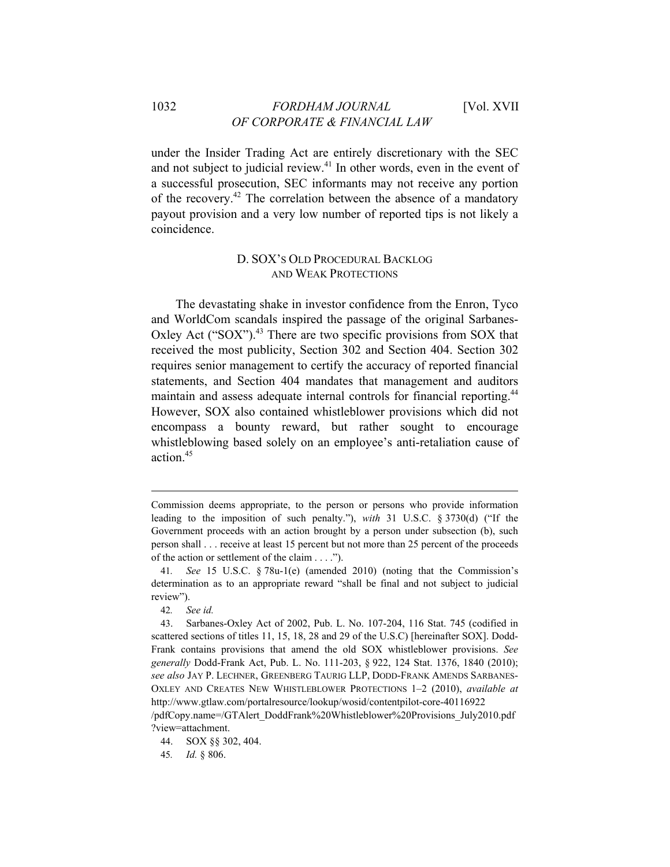## 1032 *FORDHAM JOURNAL* [Vol. XVII *OF CORPORATE & FINANCIAL LAW*

under the Insider Trading Act are entirely discretionary with the SEC and not subject to judicial review.<sup>41</sup> In other words, even in the event of a successful prosecution, SEC informants may not receive any portion of the recovery.<sup>42</sup> The correlation between the absence of a mandatory payout provision and a very low number of reported tips is not likely a coincidence.

## D. SOX'S OLD PROCEDURAL BACKLOG AND WEAK PROTECTIONS

The devastating shake in investor confidence from the Enron, Tyco and WorldCom scandals inspired the passage of the original Sarbanes-Oxley Act  $("SOX")$ <sup>43</sup>. There are two specific provisions from SOX that received the most publicity, Section 302 and Section 404. Section 302 requires senior management to certify the accuracy of reported financial statements, and Section 404 mandates that management and auditors maintain and assess adequate internal controls for financial reporting.<sup>44</sup> However, SOX also contained whistleblower provisions which did not encompass a bounty reward, but rather sought to encourage whistleblowing based solely on an employee's anti-retaliation cause of action.45

<u> 1989 - Johann Barn, mars ann an t-Amhain ann an t-Amhain an t-Amhain an t-Amhain an t-Amhain an t-Amhain an t-</u>

Commission deems appropriate, to the person or persons who provide information leading to the imposition of such penalty."), *with* 31 U.S.C. § 3730(d) ("If the Government proceeds with an action brought by a person under subsection (b), such person shall . . . receive at least 15 percent but not more than 25 percent of the proceeds of the action or settlement of the claim . . . .").

<sup>41</sup>*. See* 15 U.S.C. § 78u-1(e) (amended 2010) (noting that the Commission's determination as to an appropriate reward "shall be final and not subject to judicial review").

<sup>42</sup>*. See id.*

<sup>43.</sup> Sarbanes-Oxley Act of 2002, Pub. L. No. 107-204, 116 Stat. 745 (codified in scattered sections of titles 11, 15, 18, 28 and 29 of the U.S.C) [hereinafter SOX]. Dodd-Frank contains provisions that amend the old SOX whistleblower provisions. *See generally* Dodd-Frank Act, Pub. L. No. 111-203, § 922, 124 Stat. 1376, 1840 (2010); *see also* JAY P. LECHNER, GREENBERG TAURIG LLP, DODD-FRANK AMENDS SARBANES-OXLEY AND CREATES NEW WHISTLEBLOWER PROTECTIONS 1–2 (2010), *available at* http://www.gtlaw.com/portalresource/lookup/wosid/contentpilot-core-40116922

<sup>/</sup>pdfCopy.name=/GTAlert\_DoddFrank%20Whistleblower%20Provisions\_July2010.pdf ?view=attachment.

<sup>44.</sup> SOX §§ 302, 404.

<sup>45</sup>*. Id.* § 806.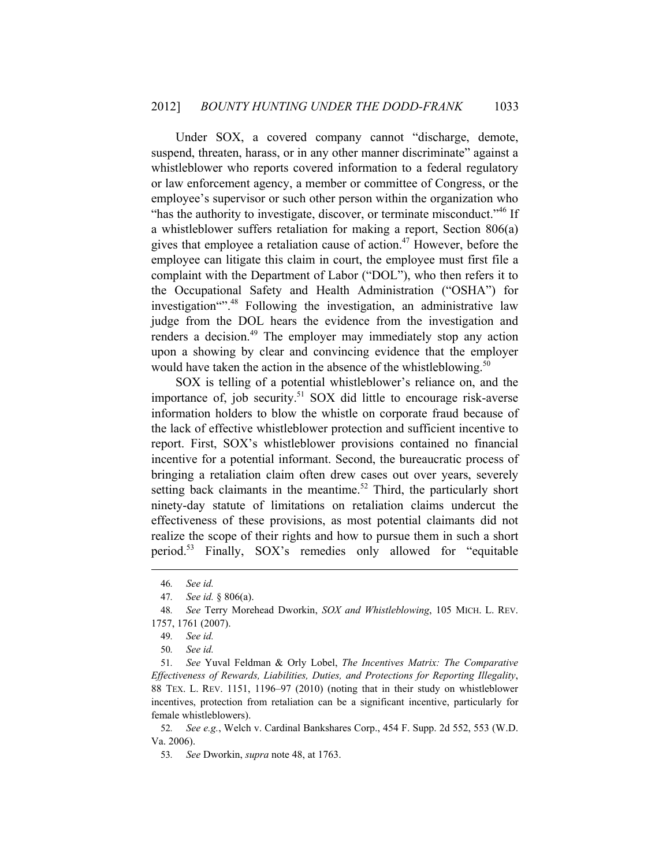Under SOX, a covered company cannot "discharge, demote, suspend, threaten, harass, or in any other manner discriminate" against a whistleblower who reports covered information to a federal regulatory or law enforcement agency, a member or committee of Congress, or the employee's supervisor or such other person within the organization who "has the authority to investigate, discover, or terminate misconduct."<sup>46</sup> If a whistleblower suffers retaliation for making a report, Section 806(a) gives that employee a retaliation cause of action.<sup>47</sup> However, before the employee can litigate this claim in court, the employee must first file a complaint with the Department of Labor ("DOL"), who then refers it to the Occupational Safety and Health Administration ("OSHA") for investigation<sup>"", 48</sup> Following the investigation, an administrative law judge from the DOL hears the evidence from the investigation and renders a decision.<sup>49</sup> The employer may immediately stop any action upon a showing by clear and convincing evidence that the employer would have taken the action in the absence of the whistleblowing.<sup>50</sup>

SOX is telling of a potential whistleblower's reliance on, and the importance of, job security.<sup>51</sup> SOX did little to encourage risk-averse information holders to blow the whistle on corporate fraud because of the lack of effective whistleblower protection and sufficient incentive to report. First, SOX's whistleblower provisions contained no financial incentive for a potential informant. Second, the bureaucratic process of bringing a retaliation claim often drew cases out over years, severely setting back claimants in the meantime.<sup>52</sup> Third, the particularly short ninety-day statute of limitations on retaliation claims undercut the effectiveness of these provisions, as most potential claimants did not realize the scope of their rights and how to pursue them in such a short period.<sup>53</sup> Finally, SOX's remedies only allowed for "equitable"

<u> 1989 - Johann Barn, mars ann an t-Amhain ann an t-Amhain an t-Amhain an t-Amhain an t-Amhain an t-Amhain an t-</u>

<sup>46</sup>*. See id.*

<sup>47</sup>*. See id.* § 806(a).

<sup>48</sup>*. See* Terry Morehead Dworkin, *SOX and Whistleblowing*, 105 MICH. L. REV. 1757, 1761 (2007).

<sup>49</sup>*. See id.*

<sup>50</sup>*. See id.*

<sup>51</sup>*. See* Yuval Feldman & Orly Lobel, *The Incentives Matrix: The Comparative Effectiveness of Rewards, Liabilities, Duties, and Protections for Reporting Illegality*, 88 TEX. L. REV. 1151, 1196–97 (2010) (noting that in their study on whistleblower incentives, protection from retaliation can be a significant incentive, particularly for female whistleblowers).

<sup>52</sup>*. See e.g.*, Welch v. Cardinal Bankshares Corp., 454 F. Supp. 2d 552, 553 (W.D. Va. 2006).

<sup>53</sup>*. See* Dworkin, *supra* note 48, at 1763.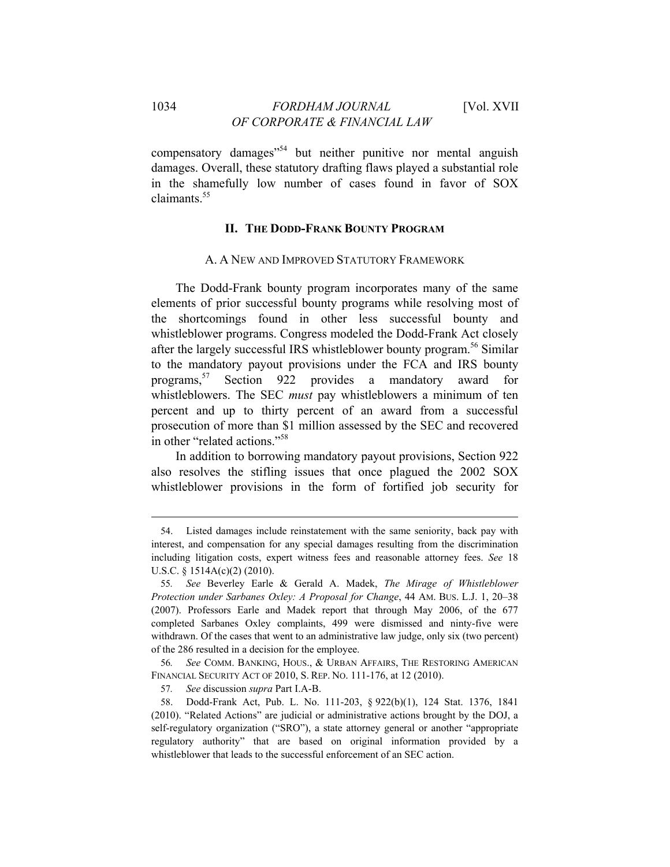compensatory damages<sup>"54</sup> but neither punitive nor mental anguish damages. Overall, these statutory drafting flaws played a substantial role in the shamefully low number of cases found in favor of SOX claimants.<sup>55</sup>

## **II. THE DODD-FRANK BOUNTY PROGRAM**

#### A. A NEW AND IMPROVED STATUTORY FRAMEWORK

The Dodd-Frank bounty program incorporates many of the same elements of prior successful bounty programs while resolving most of the shortcomings found in other less successful bounty and whistleblower programs. Congress modeled the Dodd-Frank Act closely after the largely successful IRS whistleblower bounty program.56 Similar to the mandatory payout provisions under the FCA and IRS bounty programs,57 Section 922 provides a mandatory award for whistleblowers. The SEC *must* pay whistleblowers a minimum of ten percent and up to thirty percent of an award from a successful prosecution of more than \$1 million assessed by the SEC and recovered in other "related actions."58

In addition to borrowing mandatory payout provisions, Section 922 also resolves the stifling issues that once plagued the 2002 SOX whistleblower provisions in the form of fortified job security for

<u> 1989 - Johann Barn, mars ar breithinn ar chuid ann an t-Alban ann an t-Alban ann an t-Alban ann an t-Alban a</u>

56*. See* COMM. BANKING, HOUS., & URBAN AFFAIRS, THE RESTORING AMERICAN FINANCIAL SECURITY ACT OF 2010, S. REP. NO. 111-176, at 12 (2010).

<sup>54.</sup> Listed damages include reinstatement with the same seniority, back pay with interest, and compensation for any special damages resulting from the discrimination including litigation costs, expert witness fees and reasonable attorney fees. *See* 18 U.S.C. § 1514A(c)(2) (2010).

<sup>55</sup>*. See* Beverley Earle & Gerald A. Madek, *The Mirage of Whistleblower Protection under Sarbanes Oxley: A Proposal for Change*, 44 AM. BUS. L.J. 1, 20–38 (2007). Professors Earle and Madek report that through May 2006, of the 677 completed Sarbanes Oxley complaints, 499 were dismissed and ninty-five were withdrawn. Of the cases that went to an administrative law judge, only six (two percent) of the 286 resulted in a decision for the employee.

<sup>57</sup>*. See* discussion *supra* Part I.A-B.

<sup>58.</sup> Dodd-Frank Act, Pub. L. No. 111-203, § 922(b)(1), 124 Stat. 1376, 1841 (2010). "Related Actions" are judicial or administrative actions brought by the DOJ, a self-regulatory organization ("SRO"), a state attorney general or another "appropriate regulatory authority" that are based on original information provided by a whistleblower that leads to the successful enforcement of an SEC action.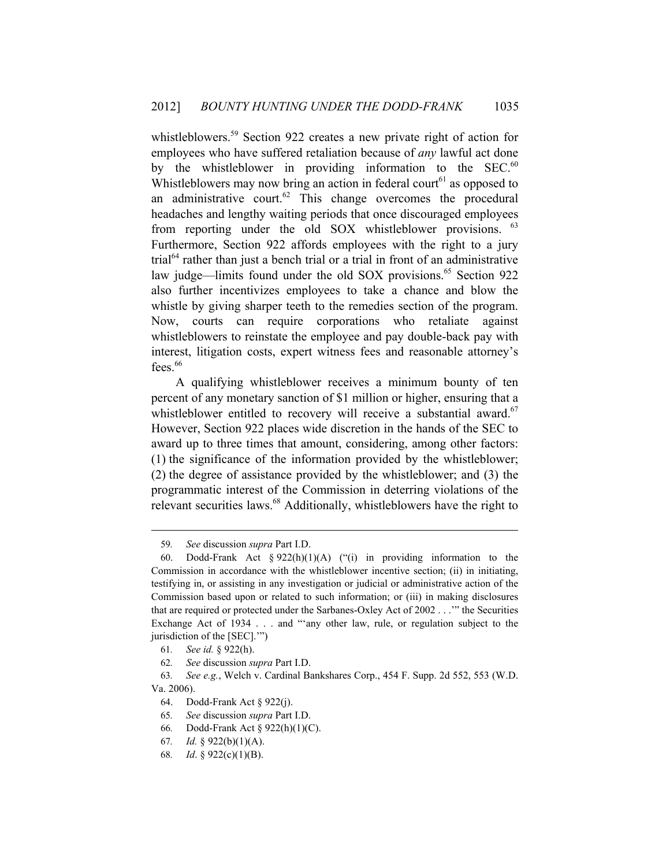whistleblowers.<sup>59</sup> Section 922 creates a new private right of action for employees who have suffered retaliation because of *any* lawful act done by the whistleblower in providing information to the  $SEC.<sup>60</sup>$ Whistleblowers may now bring an action in federal court<sup>61</sup> as opposed to an administrative court. $62$  This change overcomes the procedural headaches and lengthy waiting periods that once discouraged employees from reporting under the old SOX whistleblower provisions. <sup>63</sup> Furthermore, Section 922 affords employees with the right to a jury  $trial<sup>64</sup>$  rather than just a bench trial or a trial in front of an administrative law judge—limits found under the old SOX provisions.<sup>65</sup> Section 922 also further incentivizes employees to take a chance and blow the whistle by giving sharper teeth to the remedies section of the program. Now, courts can require corporations who retaliate against whistleblowers to reinstate the employee and pay double-back pay with interest, litigation costs, expert witness fees and reasonable attorney's fees. $66$ 

A qualifying whistleblower receives a minimum bounty of ten percent of any monetary sanction of \$1 million or higher, ensuring that a whistleblower entitled to recovery will receive a substantial award.<sup>67</sup> However, Section 922 places wide discretion in the hands of the SEC to award up to three times that amount, considering, among other factors: (1) the significance of the information provided by the whistleblower; (2) the degree of assistance provided by the whistleblower; and (3) the programmatic interest of the Commission in deterring violations of the relevant securities laws.<sup>68</sup> Additionally, whistleblowers have the right to

<sup>59</sup>*. See* discussion *supra* Part I.D.

<sup>60.</sup> Dodd-Frank Act §  $922(h)(1)(A)$  ("(i) in providing information to the Commission in accordance with the whistleblower incentive section; (ii) in initiating, testifying in, or assisting in any investigation or judicial or administrative action of the Commission based upon or related to such information; or (iii) in making disclosures that are required or protected under the Sarbanes-Oxley Act of 2002 . . .'" the Securities Exchange Act of 1934 . . . and "'any other law, rule, or regulation subject to the jurisdiction of the [SEC].'")

<sup>61</sup>*. See id.* § 922(h).

<sup>62</sup>*. See* discussion *supra* Part I.D.

<sup>63</sup>*. See e.g.*, Welch v. Cardinal Bankshares Corp., 454 F. Supp. 2d 552, 553 (W.D. Va. 2006).

<sup>64.</sup> Dodd-Frank Act § 922(j).

<sup>65</sup>*. See* discussion *supra* Part I.D.

<sup>66</sup>*.* Dodd-Frank Act § 922(h)(1)(C).

<sup>67</sup>*. Id.* § 922(b)(1)(A).

<sup>68</sup>*. Id*. § 922(c)(1)(B).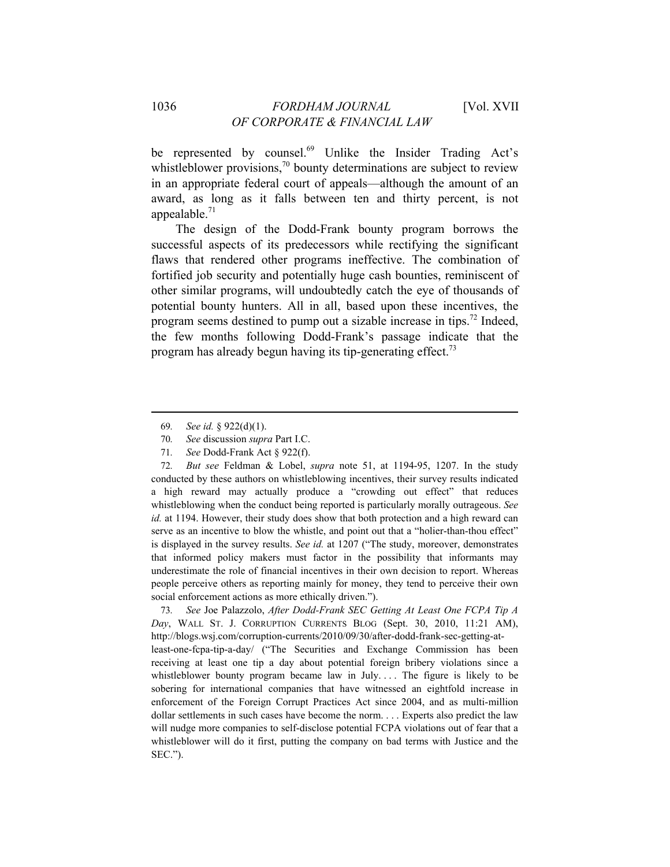be represented by counsel.<sup>69</sup> Unlike the Insider Trading Act's whistleblower provisions, $\frac{70}{10}$  bounty determinations are subject to review in an appropriate federal court of appeals—although the amount of an award, as long as it falls between ten and thirty percent, is not appealable. $71$ 

The design of the Dodd-Frank bounty program borrows the successful aspects of its predecessors while rectifying the significant flaws that rendered other programs ineffective. The combination of fortified job security and potentially huge cash bounties, reminiscent of other similar programs, will undoubtedly catch the eye of thousands of potential bounty hunters. All in all, based upon these incentives, the program seems destined to pump out a sizable increase in tips.72 Indeed, the few months following Dodd-Frank's passage indicate that the program has already begun having its tip-generating effect.<sup>73</sup>

<u> 1989 - Johann Barn, mars ar breithinn ar chuid ann an t-Alban ann an t-Alban ann an t-Alban ann an t-Alban a</u>

72*. But see* Feldman & Lobel, *supra* note 51, at 1194-95, 1207. In the study conducted by these authors on whistleblowing incentives, their survey results indicated a high reward may actually produce a "crowding out effect" that reduces whistleblowing when the conduct being reported is particularly morally outrageous. *See id.* at 1194. However, their study does show that both protection and a high reward can serve as an incentive to blow the whistle, and point out that a "holier-than-thou effect" is displayed in the survey results. *See id.* at 1207 ("The study, moreover, demonstrates that informed policy makers must factor in the possibility that informants may underestimate the role of financial incentives in their own decision to report. Whereas people perceive others as reporting mainly for money, they tend to perceive their own social enforcement actions as more ethically driven.").

73*. See* Joe Palazzolo, *After Dodd-Frank SEC Getting At Least One FCPA Tip A Day*, WALL ST. J. CORRUPTION CURRENTS BLOG (Sept. 30, 2010, 11:21 AM), http://blogs.wsj.com/corruption-currents/2010/09/30/after-dodd-frank-sec-getting-atleast-one-fcpa-tip-a-day/ ("The Securities and Exchange Commission has been receiving at least one tip a day about potential foreign bribery violations since a whistleblower bounty program became law in July.... The figure is likely to be sobering for international companies that have witnessed an eightfold increase in enforcement of the Foreign Corrupt Practices Act since 2004, and as multi-million dollar settlements in such cases have become the norm. . . . Experts also predict the law will nudge more companies to self-disclose potential FCPA violations out of fear that a whistleblower will do it first, putting the company on bad terms with Justice and the SEC.").

<sup>69</sup>*. See id.* § 922(d)(1).

<sup>70</sup>*. See* discussion *supra* Part I.C.

<sup>71</sup>*. See* Dodd-Frank Act § 922(f).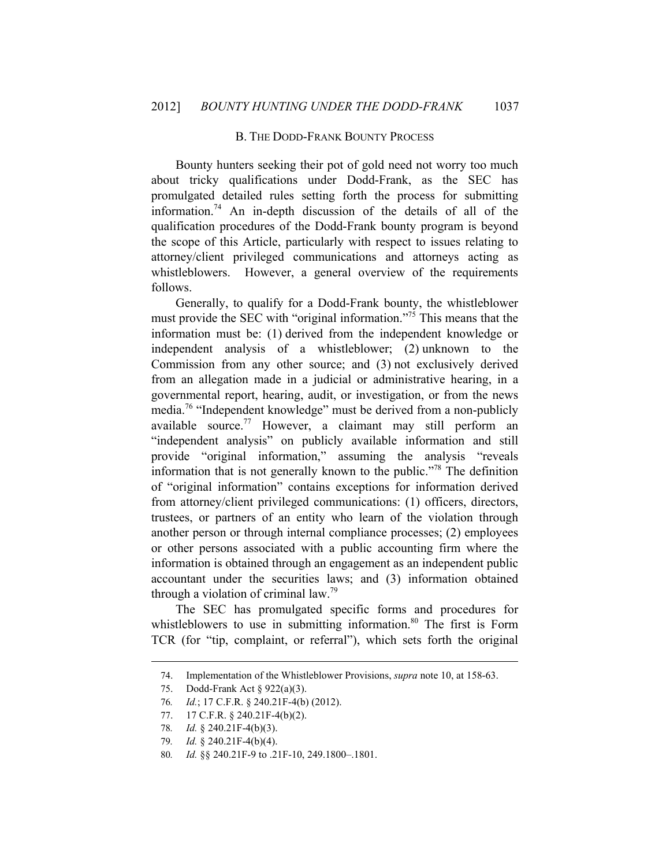#### B. THE DODD-FRANK BOUNTY PROCESS

Bounty hunters seeking their pot of gold need not worry too much about tricky qualifications under Dodd-Frank, as the SEC has promulgated detailed rules setting forth the process for submitting information.<sup>74</sup> An in-depth discussion of the details of all of the qualification procedures of the Dodd-Frank bounty program is beyond the scope of this Article, particularly with respect to issues relating to attorney/client privileged communications and attorneys acting as whistleblowers. However, a general overview of the requirements follows.

Generally, to qualify for a Dodd-Frank bounty, the whistleblower must provide the SEC with "original information."<sup>75</sup> This means that the information must be: (1) derived from the independent knowledge or independent analysis of a whistleblower; (2) unknown to the Commission from any other source; and (3) not exclusively derived from an allegation made in a judicial or administrative hearing, in a governmental report, hearing, audit, or investigation, or from the news media.76 "Independent knowledge" must be derived from a non-publicly available source.<sup>77</sup> However, a claimant may still perform an "independent analysis" on publicly available information and still provide "original information," assuming the analysis "reveals information that is not generally known to the public.<sup> $378$ </sup> The definition of "original information" contains exceptions for information derived from attorney/client privileged communications: (1) officers, directors, trustees, or partners of an entity who learn of the violation through another person or through internal compliance processes; (2) employees or other persons associated with a public accounting firm where the information is obtained through an engagement as an independent public accountant under the securities laws; and (3) information obtained through a violation of criminal law.<sup>79</sup>

The SEC has promulgated specific forms and procedures for whistleblowers to use in submitting information.<sup>80</sup> The first is Form TCR (for "tip, complaint, or referral"), which sets forth the original

<sup>&</sup>lt;u> 1989 - Johann Barn, mars ar breithinn ar chuid ann an t-Alban ann an t-Alban ann an t-Alban ann an t-Alban a</u> 74. Implementation of the Whistleblower Provisions, *supra* note 10, at 158-63.

<sup>75.</sup> Dodd-Frank Act § 922(a)(3).

<sup>76</sup>*. Id.*; 17 C.F.R. § 240.21F-4(b) (2012).

<sup>77. 17</sup> C.F.R. § 240.21F-4(b)(2).

<sup>78</sup>*. Id.* § 240.21F-4(b)(3).

<sup>79</sup>*. Id.* § 240.21F-4(b)(4).

<sup>80</sup>*. Id.* §§ 240.21F-9 to .21F-10, 249.1800–.1801.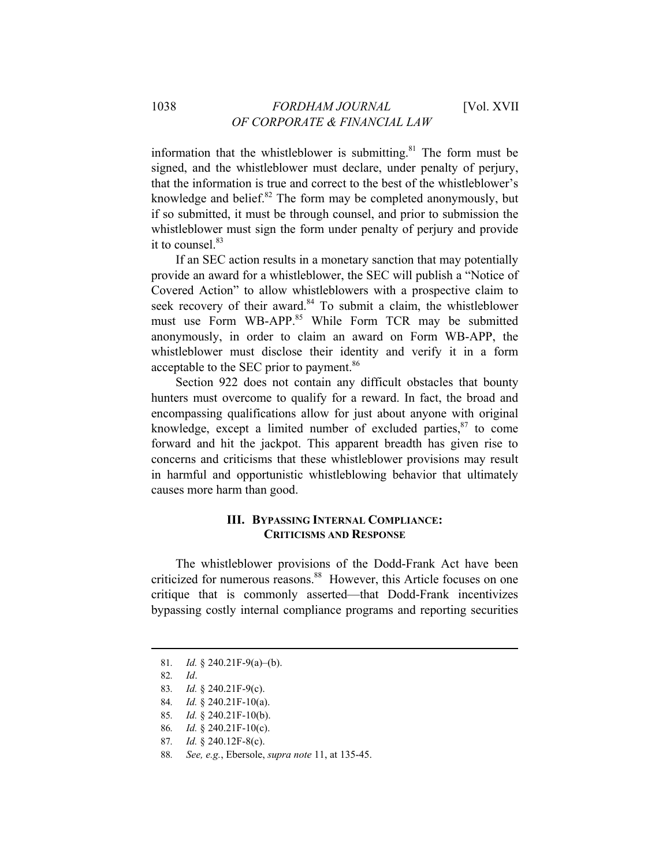information that the whistleblower is submitting. $81$  The form must be signed, and the whistleblower must declare, under penalty of perjury, that the information is true and correct to the best of the whistleblower's knowledge and belief. $82$  The form may be completed anonymously, but if so submitted, it must be through counsel, and prior to submission the whistleblower must sign the form under penalty of perjury and provide it to counsel.<sup>83</sup>

If an SEC action results in a monetary sanction that may potentially provide an award for a whistleblower, the SEC will publish a "Notice of Covered Action" to allow whistleblowers with a prospective claim to seek recovery of their award.<sup>84</sup> To submit a claim, the whistleblower must use Form WB-APP.<sup>85</sup> While Form TCR may be submitted anonymously, in order to claim an award on Form WB-APP, the whistleblower must disclose their identity and verify it in a form acceptable to the SEC prior to payment.<sup>86</sup>

Section 922 does not contain any difficult obstacles that bounty hunters must overcome to qualify for a reward. In fact, the broad and encompassing qualifications allow for just about anyone with original knowledge, except a limited number of excluded parties, $87$  to come forward and hit the jackpot. This apparent breadth has given rise to concerns and criticisms that these whistleblower provisions may result in harmful and opportunistic whistleblowing behavior that ultimately causes more harm than good.

## **III. BYPASSING INTERNAL COMPLIANCE: CRITICISMS AND RESPONSE**

The whistleblower provisions of the Dodd-Frank Act have been criticized for numerous reasons.<sup>88</sup> However, this Article focuses on one critique that is commonly asserted—that Dodd-Frank incentivizes bypassing costly internal compliance programs and reporting securities

<sup>81</sup>*. Id.* § 240.21F-9(a)–(b).

<sup>82</sup>*. Id*.

<sup>83</sup>*. Id.* § 240.21F-9(c).

<sup>84</sup>*. Id.* § 240.21F-10(a).

<sup>85</sup>*. Id.* § 240.21F-10(b).

<sup>86</sup>*. Id.* § 240.21F-10(c).

<sup>87</sup>*. Id.* § 240.12F-8(c).

<sup>88</sup>*. See, e.g.*, Ebersole, *supra note* 11, at 135-45.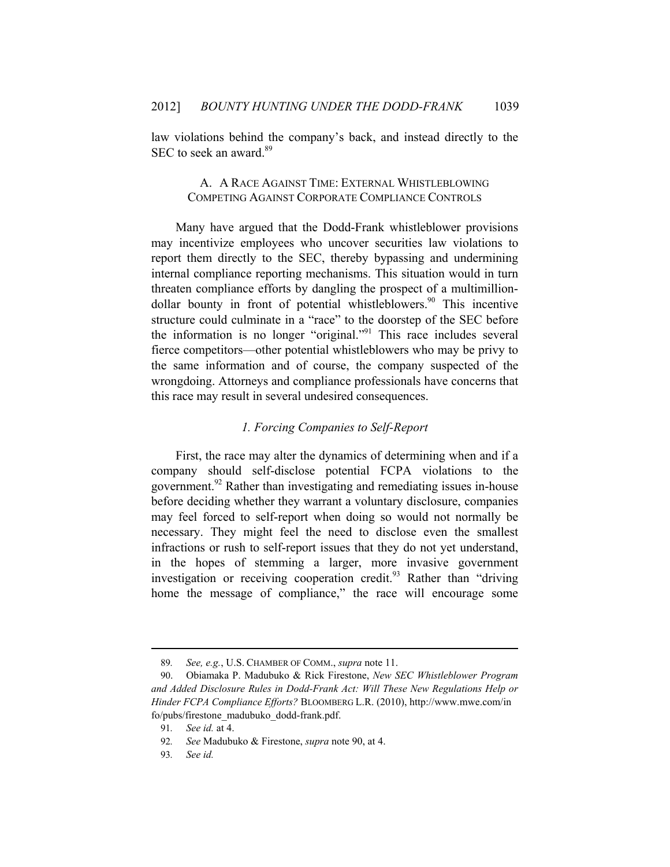law violations behind the company's back, and instead directly to the SEC to seek an award.<sup>89</sup>

## A. A RACE AGAINST TIME: EXTERNAL WHISTLEBLOWING COMPETING AGAINST CORPORATE COMPLIANCE CONTROLS

Many have argued that the Dodd-Frank whistleblower provisions may incentivize employees who uncover securities law violations to report them directly to the SEC, thereby bypassing and undermining internal compliance reporting mechanisms. This situation would in turn threaten compliance efforts by dangling the prospect of a multimilliondollar bounty in front of potential whistleblowers. $90$  This incentive structure could culminate in a "race" to the doorstep of the SEC before the information is no longer "original."<sup>91</sup> This race includes several fierce competitors—other potential whistleblowers who may be privy to the same information and of course, the company suspected of the wrongdoing. Attorneys and compliance professionals have concerns that this race may result in several undesired consequences.

## *1. Forcing Companies to Self-Report*

First, the race may alter the dynamics of determining when and if a company should self-disclose potential FCPA violations to the government.<sup>92</sup> Rather than investigating and remediating issues in-house before deciding whether they warrant a voluntary disclosure, companies may feel forced to self-report when doing so would not normally be necessary. They might feel the need to disclose even the smallest infractions or rush to self-report issues that they do not yet understand, in the hopes of stemming a larger, more invasive government investigation or receiving cooperation credit.<sup>93</sup> Rather than "driving home the message of compliance," the race will encourage some

<sup>89</sup>*. See, e.g.*, U.S. CHAMBER OF COMM., *supra* note 11.

<sup>90.</sup> Obiamaka P. Madubuko & Rick Firestone, *New SEC Whistleblower Program and Added Disclosure Rules in Dodd-Frank Act: Will These New Regulations Help or Hinder FCPA Compliance Efforts?* BLOOMBERG L.R. (2010), http://www.mwe.com/in fo/pubs/firestone\_madubuko\_dodd-frank.pdf.

<sup>91</sup>*. See id.* at 4.

<sup>92</sup>*. See* Madubuko & Firestone, *supra* note 90, at 4.

<sup>93</sup>*. See id.*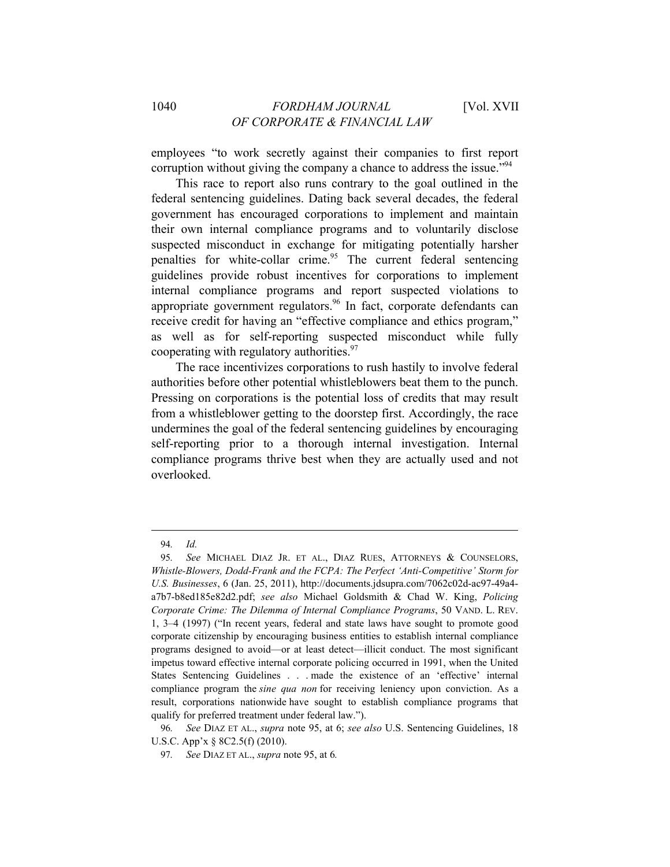employees "to work secretly against their companies to first report corruption without giving the company a chance to address the issue.<sup>"94</sup>

This race to report also runs contrary to the goal outlined in the federal sentencing guidelines. Dating back several decades, the federal government has encouraged corporations to implement and maintain their own internal compliance programs and to voluntarily disclose suspected misconduct in exchange for mitigating potentially harsher penalties for white-collar crime.<sup>95</sup> The current federal sentencing guidelines provide robust incentives for corporations to implement internal compliance programs and report suspected violations to appropriate government regulators.<sup>96</sup> In fact, corporate defendants can receive credit for having an "effective compliance and ethics program," as well as for self-reporting suspected misconduct while fully cooperating with regulatory authorities.<sup>97</sup>

The race incentivizes corporations to rush hastily to involve federal authorities before other potential whistleblowers beat them to the punch. Pressing on corporations is the potential loss of credits that may result from a whistleblower getting to the doorstep first. Accordingly, the race undermines the goal of the federal sentencing guidelines by encouraging self-reporting prior to a thorough internal investigation. Internal compliance programs thrive best when they are actually used and not overlooked.

<sup>94</sup>*. Id.*

<sup>95</sup>*. See* MICHAEL DIAZ JR. ET AL., DIAZ RUES, ATTORNEYS & COUNSELORS, *Whistle-Blowers, Dodd-Frank and the FCPA: The Perfect 'Anti-Competitive' Storm for U.S. Businesses*, 6 (Jan. 25, 2011), http://documents.jdsupra.com/7062c02d-ac97-49a4 a7b7-b8ed185e82d2.pdf; *see also* Michael Goldsmith & Chad W. King, *Policing Corporate Crime: The Dilemma of Internal Compliance Programs*, 50 VAND. L. REV. 1, 3–4 (1997) ("In recent years, federal and state laws have sought to promote good corporate citizenship by encouraging business entities to establish internal compliance programs designed to avoid—or at least detect—illicit conduct. The most significant impetus toward effective internal corporate policing occurred in 1991, when the United States Sentencing Guidelines . . . made the existence of an 'effective' internal compliance program the *sine qua non* for receiving leniency upon conviction. As a result, corporations nationwide have sought to establish compliance programs that qualify for preferred treatment under federal law.").

<sup>96</sup>*. See* DIAZ ET AL., *supra* note 95, at 6; *see also* U.S. Sentencing Guidelines, 18 U.S.C. App'x § 8C2.5(f) (2010).

<sup>97</sup>*. See* DIAZ ET AL., *supra* note 95, at 6*.*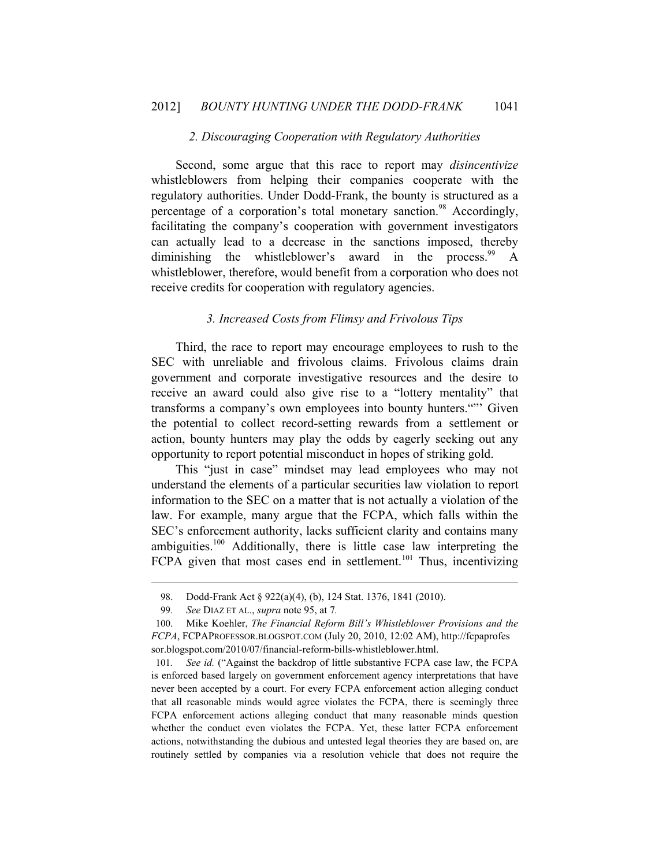#### *2. Discouraging Cooperation with Regulatory Authorities*

Second, some argue that this race to report may *disincentivize*  whistleblowers from helping their companies cooperate with the regulatory authorities. Under Dodd-Frank, the bounty is structured as a percentage of a corporation's total monetary sanction.<sup>98</sup> Accordingly, facilitating the company's cooperation with government investigators can actually lead to a decrease in the sanctions imposed, thereby diminishing the whistleblower's award in the process.  $^{99}$  A whistleblower, therefore, would benefit from a corporation who does not receive credits for cooperation with regulatory agencies.

## *3. Increased Costs from Flimsy and Frivolous Tips*

Third, the race to report may encourage employees to rush to the SEC with unreliable and frivolous claims. Frivolous claims drain government and corporate investigative resources and the desire to receive an award could also give rise to a "lottery mentality" that transforms a company's own employees into bounty hunters.""' Given the potential to collect record-setting rewards from a settlement or action, bounty hunters may play the odds by eagerly seeking out any opportunity to report potential misconduct in hopes of striking gold.

This "just in case" mindset may lead employees who may not understand the elements of a particular securities law violation to report information to the SEC on a matter that is not actually a violation of the law. For example, many argue that the FCPA, which falls within the SEC's enforcement authority, lacks sufficient clarity and contains many ambiguities.100 Additionally, there is little case law interpreting the  $FCPA$  given that most cases end in settlement.<sup>101</sup> Thus, incentivizing

<sup>98.</sup> Dodd-Frank Act § 922(a)(4), (b), 124 Stat. 1376, 1841 (2010).

<sup>99</sup>*. See* DIAZ ET AL., *supra* note 95, at 7*.*

<sup>100.</sup> Mike Koehler, *The Financial Reform Bill's Whistleblower Provisions and the FCPA*, FCPAPROFESSOR.BLOGSPOT.COM (July 20, 2010, 12:02 AM), http://fcpaprofes sor.blogspot.com/2010/07/financial-reform-bills-whistleblower.html.

<sup>101</sup>*. See id.* ("Against the backdrop of little substantive FCPA case law, the FCPA is enforced based largely on government enforcement agency interpretations that have never been accepted by a court. For every FCPA enforcement action alleging conduct that all reasonable minds would agree violates the FCPA, there is seemingly three FCPA enforcement actions alleging conduct that many reasonable minds question whether the conduct even violates the FCPA. Yet, these latter FCPA enforcement actions, notwithstanding the dubious and untested legal theories they are based on, are routinely settled by companies via a resolution vehicle that does not require the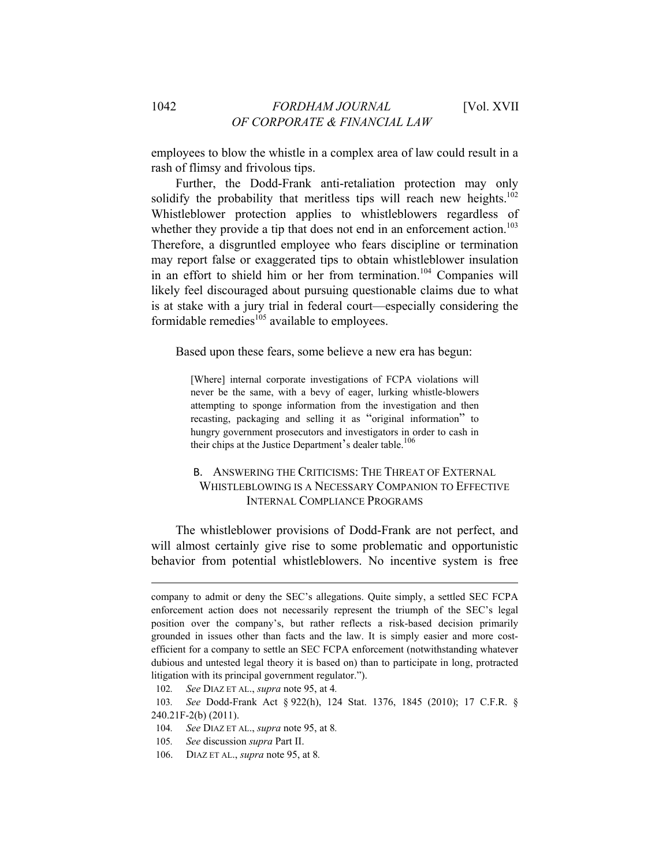employees to blow the whistle in a complex area of law could result in a rash of flimsy and frivolous tips.

Further, the Dodd-Frank anti-retaliation protection may only solidify the probability that meritless tips will reach new heights.<sup>102</sup> Whistleblower protection applies to whistleblowers regardless of whether they provide a tip that does not end in an enforcement action.<sup>103</sup> Therefore, a disgruntled employee who fears discipline or termination may report false or exaggerated tips to obtain whistleblower insulation in an effort to shield him or her from termination.<sup>104</sup> Companies will likely feel discouraged about pursuing questionable claims due to what is at stake with a jury trial in federal court—especially considering the formidable remedies $^{105}$  available to employees.

Based upon these fears, some believe a new era has begun:

[Where] internal corporate investigations of FCPA violations will never be the same, with a bevy of eager, lurking whistle-blowers attempting to sponge information from the investigation and then recasting, packaging and selling it as "original information" to hungry government prosecutors and investigators in order to cash in their chips at the Justice Department's dealer table.<sup>106</sup>

## B. ANSWERING THE CRITICISMS: THE THREAT OF EXTERNAL WHISTLEBLOWING IS A NECESSARY COMPANION TO EFFECTIVE INTERNAL COMPLIANCE PROGRAMS

The whistleblower provisions of Dodd-Frank are not perfect, and will almost certainly give rise to some problematic and opportunistic behavior from potential whistleblowers. No incentive system is free

company to admit or deny the SEC's allegations. Quite simply, a settled SEC FCPA enforcement action does not necessarily represent the triumph of the SEC's legal position over the company's, but rather reflects a risk-based decision primarily grounded in issues other than facts and the law. It is simply easier and more costefficient for a company to settle an SEC FCPA enforcement (notwithstanding whatever dubious and untested legal theory it is based on) than to participate in long, protracted litigation with its principal government regulator.").

<sup>102</sup>*. See* DIAZ ET AL., *supra* note 95, at 4*.*

<sup>103</sup>*. See* Dodd-Frank Act § 922(h), 124 Stat. 1376, 1845 (2010); 17 C.F.R. § 240.21F-2(b) (2011).

<sup>104</sup>*. See* DIAZ ET AL., *supra* note 95, at 8*.*

<sup>105</sup>*. See* discussion *supra* Part II.

<sup>106.</sup> DIAZ ET AL., *supra* note 95, at 8*.*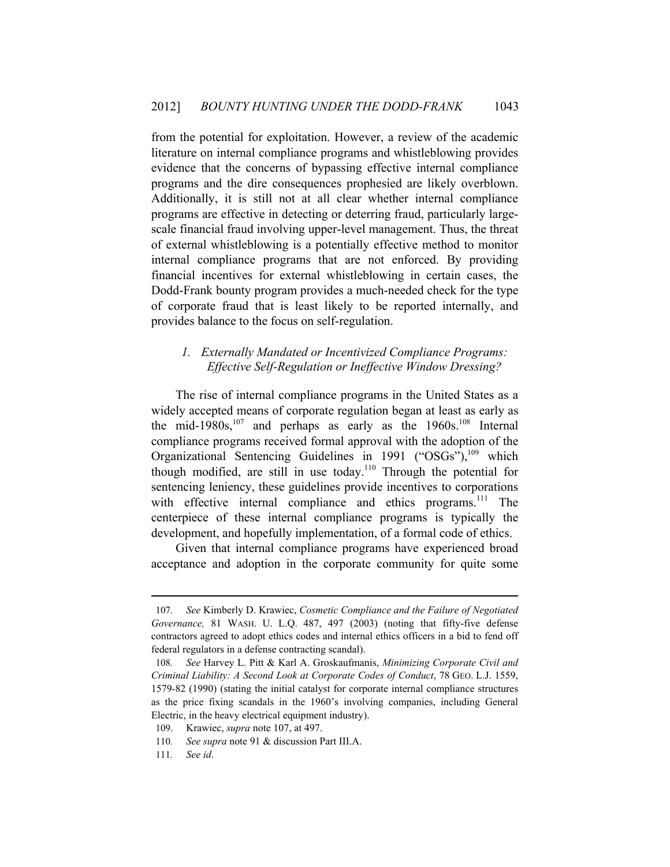from the potential for exploitation. However, a review of the academic literature on internal compliance programs and whistleblowing provides evidence that the concerns of bypassing effective internal compliance programs and the dire consequences prophesied are likely overblown. Additionally, it is still not at all clear whether internal compliance programs are effective in detecting or deterring fraud, particularly largescale financial fraud involving upper-level management. Thus, the threat of external whistleblowing is a potentially effective method to monitor internal compliance programs that are not enforced. By providing financial incentives for external whistleblowing in certain cases, the Dodd-Frank bounty program provides a much-needed check for the type of corporate fraud that is least likely to be reported internally, and provides balance to the focus on self-regulation.

## *1. Externally Mandated or Incentivized Compliance Programs: Effective Self-Regulation or Ineffective Window Dressing?*

The rise of internal compliance programs in the United States as a widely accepted means of corporate regulation began at least as early as the mid-1980s,<sup>107</sup> and perhaps as early as the  $1960s$ ,<sup>108</sup> Internal compliance programs received formal approval with the adoption of the Organizational Sentencing Guidelines in 1991 ("OSGs"), $^{109}$  which though modified, are still in use today.<sup>110</sup> Through the potential for sentencing leniency, these guidelines provide incentives to corporations with effective internal compliance and ethics programs.<sup>111</sup> The centerpiece of these internal compliance programs is typically the development, and hopefully implementation, of a formal code of ethics.

Given that internal compliance programs have experienced broad acceptance and adoption in the corporate community for quite some

<sup>107</sup>*. See* Kimberly D. Krawiec, *Cosmetic Compliance and the Failure of Negotiated Governance,* 81 WASH. U. L.Q. 487, 497 (2003) (noting that fifty-five defense contractors agreed to adopt ethics codes and internal ethics officers in a bid to fend off federal regulators in a defense contracting scandal).

<sup>108</sup>*. See* Harvey L. Pitt & Karl A. Groskaufmanis, *Minimizing Corporate Civil and Criminal Liability: A Second Look at Corporate Codes of Conduct*, 78 GEO. L.J. 1559, 1579-82 (1990) (stating the initial catalyst for corporate internal compliance structures as the price fixing scandals in the 1960's involving companies, including General Electric, in the heavy electrical equipment industry).

<sup>109.</sup> Krawiec, *supra* note 107, at 497.

<sup>110</sup>*. See supra* note 91 & discussion Part III.A.

<sup>111</sup>*. See id*.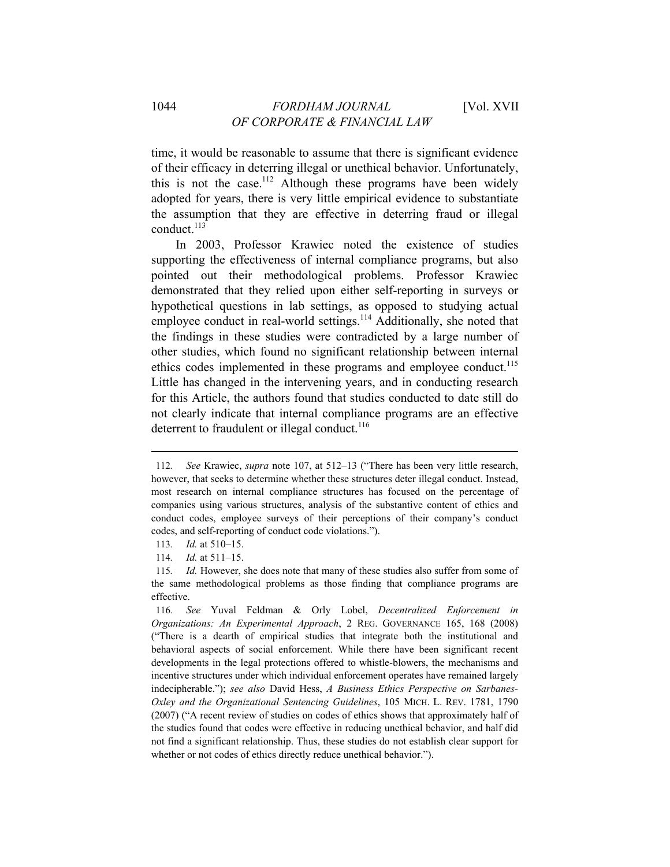time, it would be reasonable to assume that there is significant evidence of their efficacy in deterring illegal or unethical behavior. Unfortunately, this is not the case.<sup>112</sup> Although these programs have been widely adopted for years, there is very little empirical evidence to substantiate the assumption that they are effective in deterring fraud or illegal conduct. $113$ 

In 2003, Professor Krawiec noted the existence of studies supporting the effectiveness of internal compliance programs, but also pointed out their methodological problems. Professor Krawiec demonstrated that they relied upon either self-reporting in surveys or hypothetical questions in lab settings, as opposed to studying actual employee conduct in real-world settings.<sup>114</sup> Additionally, she noted that the findings in these studies were contradicted by a large number of other studies, which found no significant relationship between internal ethics codes implemented in these programs and employee conduct.<sup>115</sup> Little has changed in the intervening years, and in conducting research for this Article, the authors found that studies conducted to date still do not clearly indicate that internal compliance programs are an effective deterrent to fraudulent or illegal conduct.<sup>116</sup>

<sup>112</sup>*. See* Krawiec, *supra* note 107, at 512–13 ("There has been very little research, however, that seeks to determine whether these structures deter illegal conduct. Instead, most research on internal compliance structures has focused on the percentage of companies using various structures, analysis of the substantive content of ethics and conduct codes, employee surveys of their perceptions of their company's conduct codes, and self-reporting of conduct code violations.").

<sup>113</sup>*. Id.* at 510–15.

<sup>114</sup>*. Id.* at 511–15.

<sup>115</sup>*. Id.* However, she does note that many of these studies also suffer from some of the same methodological problems as those finding that compliance programs are effective.

<sup>116</sup>*. See* Yuval Feldman & Orly Lobel, *Decentralized Enforcement in Organizations: An Experimental Approach*, 2 REG. GOVERNANCE 165, 168 (2008) ("There is a dearth of empirical studies that integrate both the institutional and behavioral aspects of social enforcement. While there have been significant recent developments in the legal protections offered to whistle-blowers, the mechanisms and incentive structures under which individual enforcement operates have remained largely indecipherable."); *see also* David Hess, *A Business Ethics Perspective on Sarbanes-Oxley and the Organizational Sentencing Guidelines*, 105 MICH. L. REV. 1781, 1790 (2007) ("A recent review of studies on codes of ethics shows that approximately half of the studies found that codes were effective in reducing unethical behavior, and half did not find a significant relationship. Thus, these studies do not establish clear support for whether or not codes of ethics directly reduce unethical behavior.").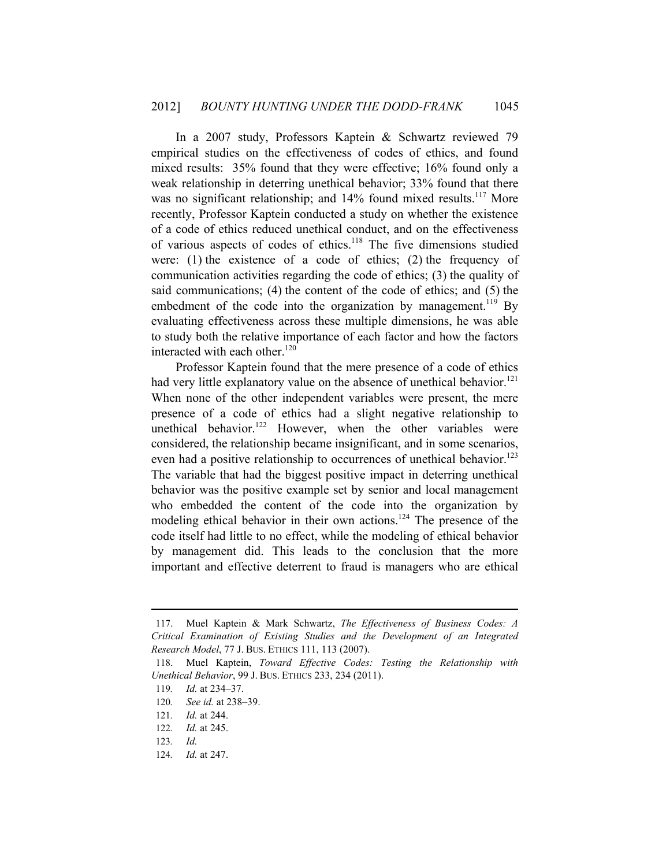In a 2007 study, Professors Kaptein & Schwartz reviewed 79 empirical studies on the effectiveness of codes of ethics, and found mixed results: 35% found that they were effective; 16% found only a weak relationship in deterring unethical behavior; 33% found that there was no significant relationship; and 14% found mixed results.<sup>117</sup> More recently, Professor Kaptein conducted a study on whether the existence of a code of ethics reduced unethical conduct, and on the effectiveness of various aspects of codes of ethics.118 The five dimensions studied were: (1) the existence of a code of ethics; (2) the frequency of communication activities regarding the code of ethics; (3) the quality of said communications; (4) the content of the code of ethics; and (5) the embedment of the code into the organization by management.<sup>119</sup> By evaluating effectiveness across these multiple dimensions, he was able to study both the relative importance of each factor and how the factors interacted with each other.<sup>120</sup>

Professor Kaptein found that the mere presence of a code of ethics had very little explanatory value on the absence of unethical behavior.<sup>121</sup> When none of the other independent variables were present, the mere presence of a code of ethics had a slight negative relationship to unethical behavior.<sup>122</sup> However, when the other variables were considered, the relationship became insignificant, and in some scenarios, even had a positive relationship to occurrences of unethical behavior.<sup>123</sup> The variable that had the biggest positive impact in deterring unethical behavior was the positive example set by senior and local management who embedded the content of the code into the organization by modeling ethical behavior in their own actions.<sup>124</sup> The presence of the code itself had little to no effect, while the modeling of ethical behavior by management did. This leads to the conclusion that the more important and effective deterrent to fraud is managers who are ethical

<sup>117.</sup> Muel Kaptein & Mark Schwartz, *The Effectiveness of Business Codes: A Critical Examination of Existing Studies and the Development of an Integrated Research Model*, 77 J. BUS. ETHICS 111, 113 (2007).

<sup>118.</sup> Muel Kaptein, *Toward Effective Codes: Testing the Relationship with Unethical Behavior*, 99 J. BUS. ETHICS 233, 234 (2011).

<sup>119</sup>*. Id.* at 234–37.

<sup>120</sup>*. See id.* at 238–39.

<sup>121</sup>*. Id.* at 244.

<sup>122</sup>*. Id.* at 245.

<sup>123</sup>*. Id.*

<sup>124</sup>*. Id.* at 247.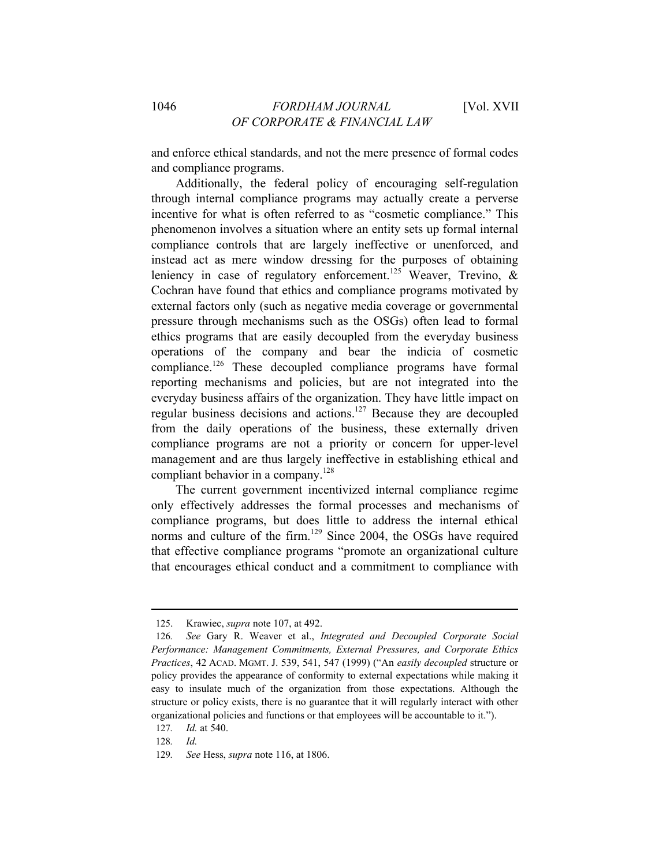and enforce ethical standards, and not the mere presence of formal codes and compliance programs.

Additionally, the federal policy of encouraging self-regulation through internal compliance programs may actually create a perverse incentive for what is often referred to as "cosmetic compliance." This phenomenon involves a situation where an entity sets up formal internal compliance controls that are largely ineffective or unenforced, and instead act as mere window dressing for the purposes of obtaining leniency in case of regulatory enforcement.<sup>125</sup> Weaver, Trevino, & Cochran have found that ethics and compliance programs motivated by external factors only (such as negative media coverage or governmental pressure through mechanisms such as the OSGs) often lead to formal ethics programs that are easily decoupled from the everyday business operations of the company and bear the indicia of cosmetic compliance.126 These decoupled compliance programs have formal reporting mechanisms and policies, but are not integrated into the everyday business affairs of the organization. They have little impact on regular business decisions and actions.127 Because they are decoupled from the daily operations of the business, these externally driven compliance programs are not a priority or concern for upper-level management and are thus largely ineffective in establishing ethical and compliant behavior in a company.<sup>128</sup>

The current government incentivized internal compliance regime only effectively addresses the formal processes and mechanisms of compliance programs, but does little to address the internal ethical norms and culture of the firm.<sup>129</sup> Since 2004, the OSGs have required that effective compliance programs "promote an organizational culture that encourages ethical conduct and a commitment to compliance with

<sup>125.</sup> Krawiec, *supra* note 107, at 492.

<sup>126</sup>*. See* Gary R. Weaver et al., *Integrated and Decoupled Corporate Social Performance: Management Commitments, External Pressures, and Corporate Ethics Practices*, 42 ACAD. MGMT. J. 539, 541, 547 (1999) ("An *easily decoupled* structure or policy provides the appearance of conformity to external expectations while making it easy to insulate much of the organization from those expectations. Although the structure or policy exists, there is no guarantee that it will regularly interact with other organizational policies and functions or that employees will be accountable to it.").

<sup>127</sup>*. Id.* at 540.

<sup>128</sup>*. Id.*

<sup>129</sup>*. See* Hess, *supra* note 116, at 1806.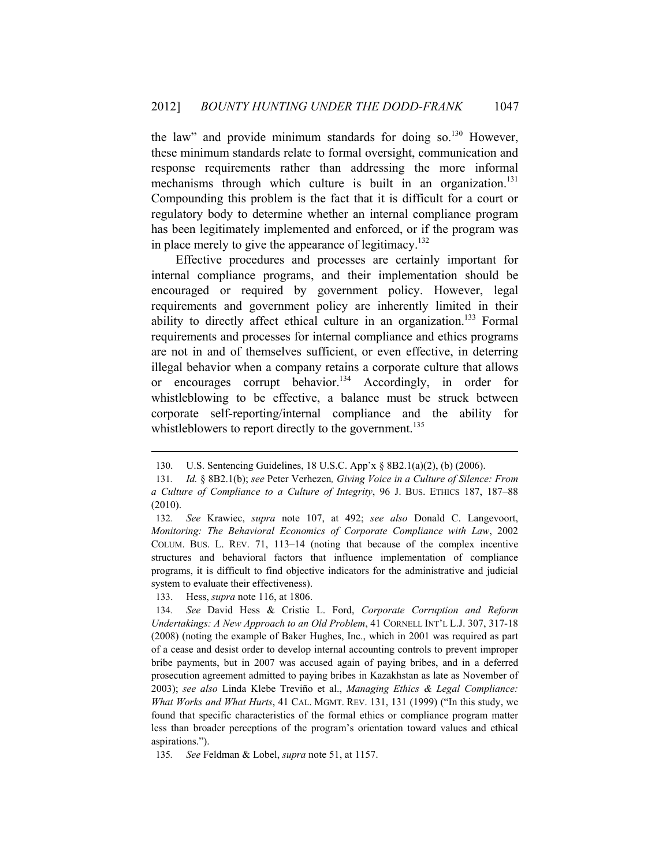the law" and provide minimum standards for doing so.<sup>130</sup> However, these minimum standards relate to formal oversight, communication and response requirements rather than addressing the more informal mechanisms through which culture is built in an organization.<sup>131</sup> Compounding this problem is the fact that it is difficult for a court or regulatory body to determine whether an internal compliance program has been legitimately implemented and enforced, or if the program was in place merely to give the appearance of legitimacy.<sup>132</sup>

Effective procedures and processes are certainly important for internal compliance programs, and their implementation should be encouraged or required by government policy. However, legal requirements and government policy are inherently limited in their ability to directly affect ethical culture in an organization.<sup>133</sup> Formal requirements and processes for internal compliance and ethics programs are not in and of themselves sufficient, or even effective, in deterring illegal behavior when a company retains a corporate culture that allows or encourages corrupt behavior.<sup>134</sup> Accordingly, in order for whistleblowing to be effective, a balance must be struck between corporate self-reporting/internal compliance and the ability for whistleblowers to report directly to the government.<sup>135</sup>

<sup>130.</sup> U.S. Sentencing Guidelines, 18 U.S.C. App'x § 8B2.1(a)(2), (b) (2006).

<sup>131</sup>*. Id.* § 8B2.1(b); *see* Peter Verhezen*, Giving Voice in a Culture of Silence: From a Culture of Compliance to a Culture of Integrity*, 96 J. BUS. ETHICS 187, 187–88 (2010).

<sup>132</sup>*. See* Krawiec, *supra* note 107, at 492; *see also* Donald C. Langevoort, *Monitoring: The Behavioral Economics of Corporate Compliance with Law*, 2002 COLUM. BUS. L. REV. 71, 113–14 (noting that because of the complex incentive structures and behavioral factors that influence implementation of compliance programs, it is difficult to find objective indicators for the administrative and judicial system to evaluate their effectiveness).

<sup>133.</sup> Hess, *supra* note 116, at 1806.

<sup>134</sup>*. See* David Hess & Cristie L. Ford, *Corporate Corruption and Reform Undertakings: A New Approach to an Old Problem*, 41 CORNELL INT'L L.J. 307, 317-18 (2008) (noting the example of Baker Hughes, Inc., which in 2001 was required as part of a cease and desist order to develop internal accounting controls to prevent improper bribe payments, but in 2007 was accused again of paying bribes, and in a deferred prosecution agreement admitted to paying bribes in Kazakhstan as late as November of 2003); *see also* Linda Klebe Treviño et al., *Managing Ethics & Legal Compliance: What Works and What Hurts*, 41 CAL. MGMT. REV. 131, 131 (1999) ("In this study, we found that specific characteristics of the formal ethics or compliance program matter less than broader perceptions of the program's orientation toward values and ethical aspirations.").

<sup>135</sup>*. See* Feldman & Lobel, *supra* note 51, at 1157.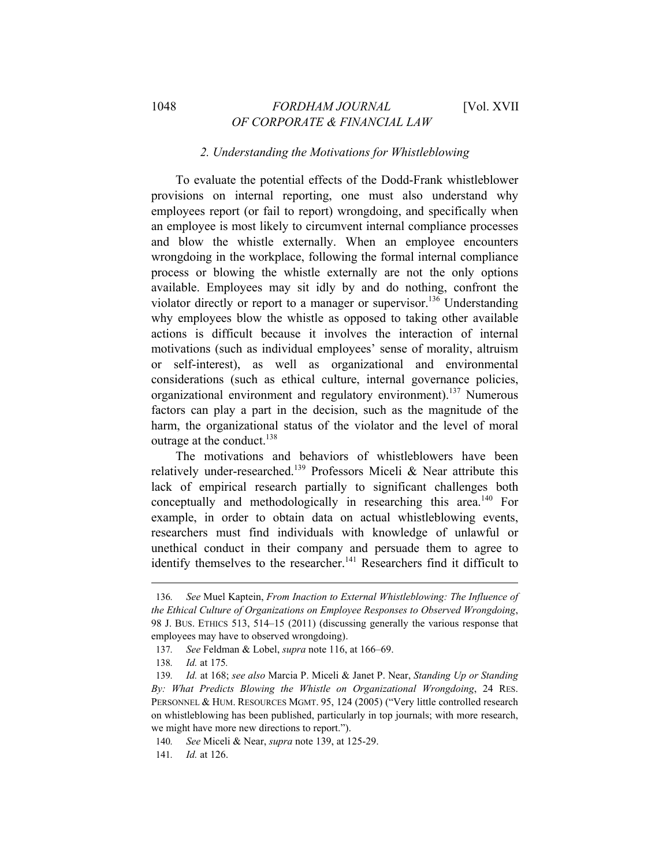## *2. Understanding the Motivations for Whistleblowing*

To evaluate the potential effects of the Dodd-Frank whistleblower provisions on internal reporting, one must also understand why employees report (or fail to report) wrongdoing, and specifically when an employee is most likely to circumvent internal compliance processes and blow the whistle externally. When an employee encounters wrongdoing in the workplace, following the formal internal compliance process or blowing the whistle externally are not the only options available. Employees may sit idly by and do nothing, confront the violator directly or report to a manager or supervisor.<sup>136</sup> Understanding why employees blow the whistle as opposed to taking other available actions is difficult because it involves the interaction of internal motivations (such as individual employees' sense of morality, altruism or self-interest), as well as organizational and environmental considerations (such as ethical culture, internal governance policies, organizational environment and regulatory environment).137 Numerous factors can play a part in the decision, such as the magnitude of the harm, the organizational status of the violator and the level of moral outrage at the conduct.<sup>138</sup>

The motivations and behaviors of whistleblowers have been relatively under-researched.<sup>139</sup> Professors Miceli & Near attribute this lack of empirical research partially to significant challenges both conceptually and methodologically in researching this area.<sup>140</sup> For example, in order to obtain data on actual whistleblowing events, researchers must find individuals with knowledge of unlawful or unethical conduct in their company and persuade them to agree to identify themselves to the researcher.<sup>141</sup> Researchers find it difficult to

<sup>136</sup>*. See* Muel Kaptein, *From Inaction to External Whistleblowing: The Influence of the Ethical Culture of Organizations on Employee Responses to Observed Wrongdoing*, 98 J. BUS. ETHICS 513, 514–15 (2011) (discussing generally the various response that employees may have to observed wrongdoing).

<sup>137</sup>*. See* Feldman & Lobel, *supra* note 116, at 166–69.

<sup>138</sup>*. Id.* at 175*.*

<sup>139</sup>*. Id.* at 168; *see also* Marcia P. Miceli & Janet P. Near, *Standing Up or Standing By: What Predicts Blowing the Whistle on Organizational Wrongdoing*, 24 RES. PERSONNEL & HUM. RESOURCES MGMT. 95, 124 (2005) ("Very little controlled research on whistleblowing has been published, particularly in top journals; with more research, we might have more new directions to report.").

<sup>140</sup>*. See* Miceli & Near, *supra* note 139, at 125-29.

<sup>141</sup>*. Id.* at 126.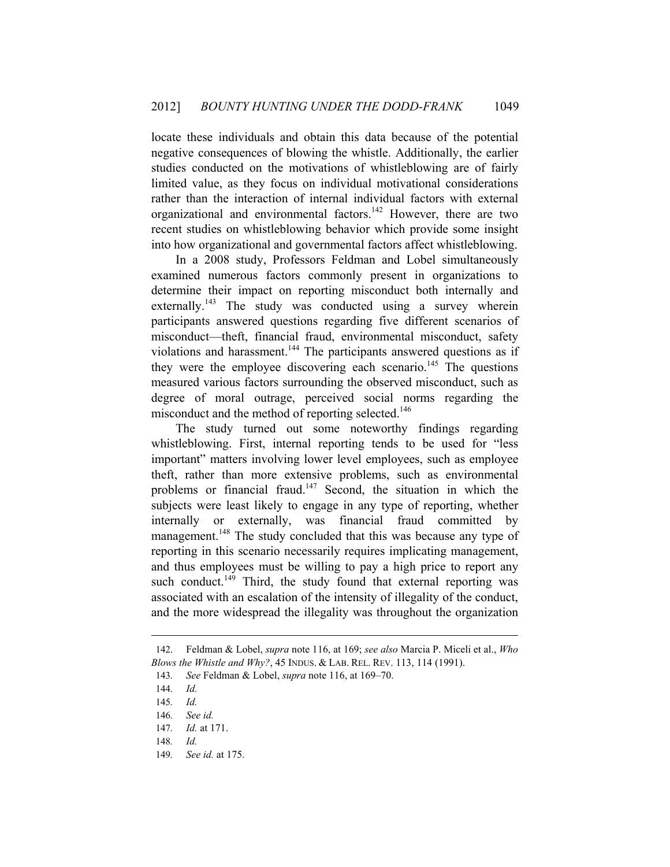locate these individuals and obtain this data because of the potential negative consequences of blowing the whistle. Additionally, the earlier studies conducted on the motivations of whistleblowing are of fairly limited value, as they focus on individual motivational considerations rather than the interaction of internal individual factors with external organizational and environmental factors.142 However, there are two recent studies on whistleblowing behavior which provide some insight into how organizational and governmental factors affect whistleblowing.

In a 2008 study, Professors Feldman and Lobel simultaneously examined numerous factors commonly present in organizations to determine their impact on reporting misconduct both internally and externally.<sup>143</sup> The study was conducted using a survey wherein participants answered questions regarding five different scenarios of misconduct—theft, financial fraud, environmental misconduct, safety violations and harassment.<sup>144</sup> The participants answered questions as if they were the employee discovering each scenario.<sup>145</sup> The questions measured various factors surrounding the observed misconduct, such as degree of moral outrage, perceived social norms regarding the misconduct and the method of reporting selected.<sup>146</sup>

The study turned out some noteworthy findings regarding whistleblowing. First, internal reporting tends to be used for "less important" matters involving lower level employees, such as employee theft, rather than more extensive problems, such as environmental problems or financial fraud.<sup>147</sup> Second, the situation in which the subjects were least likely to engage in any type of reporting, whether internally or externally, was financial fraud committed by management.<sup>148</sup> The study concluded that this was because any type of reporting in this scenario necessarily requires implicating management, and thus employees must be willing to pay a high price to report any such conduct.<sup>149</sup> Third, the study found that external reporting was associated with an escalation of the intensity of illegality of the conduct, and the more widespread the illegality was throughout the organization

<sup>142.</sup> Feldman & Lobel, *supra* note 116, at 169; *see also* Marcia P. Miceli et al., *Who Blows the Whistle and Why?*, 45 INDUS. & LAB. REL. REV. 113, 114 (1991).

<sup>143</sup>*. See* Feldman & Lobel, *supra* note 116, at 169–70.

<sup>144</sup>*. Id.*

<sup>145</sup>*. Id.*

<sup>146</sup>*. See id.*

<sup>147</sup>*. Id.* at 171.

<sup>148</sup>*. Id.*

<sup>149</sup>*. See id.* at 175.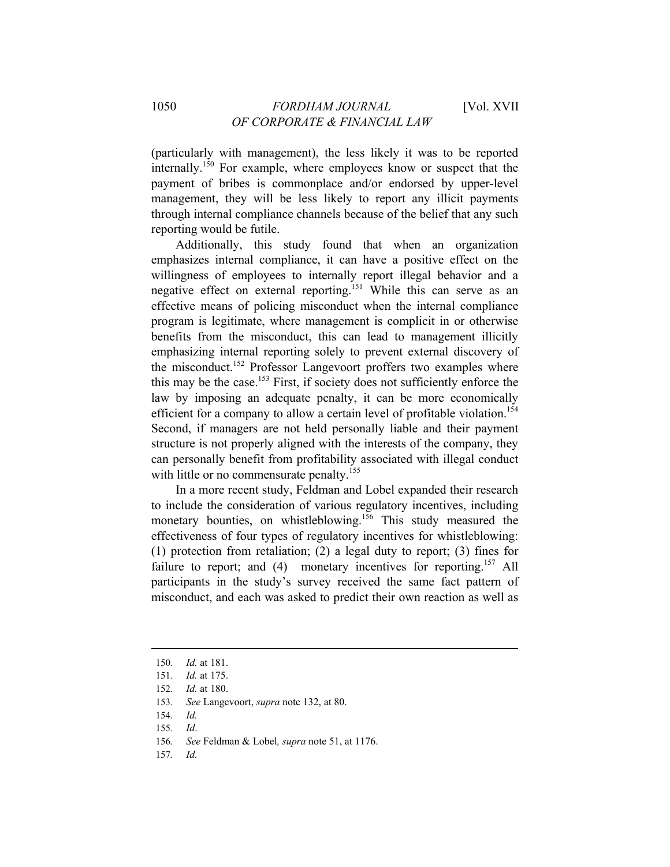(particularly with management), the less likely it was to be reported internally.150 For example, where employees know or suspect that the payment of bribes is commonplace and/or endorsed by upper-level management, they will be less likely to report any illicit payments through internal compliance channels because of the belief that any such reporting would be futile.

Additionally, this study found that when an organization emphasizes internal compliance, it can have a positive effect on the willingness of employees to internally report illegal behavior and a negative effect on external reporting.<sup>151</sup> While this can serve as an effective means of policing misconduct when the internal compliance program is legitimate, where management is complicit in or otherwise benefits from the misconduct, this can lead to management illicitly emphasizing internal reporting solely to prevent external discovery of the misconduct.<sup>152</sup> Professor Langevoort proffers two examples where this may be the case.<sup>153</sup> First, if society does not sufficiently enforce the law by imposing an adequate penalty, it can be more economically efficient for a company to allow a certain level of profitable violation.<sup>154</sup> Second, if managers are not held personally liable and their payment structure is not properly aligned with the interests of the company, they can personally benefit from profitability associated with illegal conduct with little or no commensurate penalty.<sup>155</sup>

In a more recent study, Feldman and Lobel expanded their research to include the consideration of various regulatory incentives, including monetary bounties, on whistleblowing.<sup>156</sup> This study measured the effectiveness of four types of regulatory incentives for whistleblowing: (1) protection from retaliation; (2) a legal duty to report; (3) fines for failure to report; and (4) monetary incentives for reporting.<sup>157</sup> All participants in the study's survey received the same fact pattern of misconduct, and each was asked to predict their own reaction as well as

- 156*. See* Feldman & Lobel*, supra* note 51, at 1176.
- 157*. Id.*

<sup>150</sup>*. Id.* at 181.

<sup>151</sup>*. Id.* at 175.

<sup>152</sup>*. Id.* at 180.

<sup>153</sup>*. See* Langevoort, *supra* note 132, at 80.

<sup>154</sup>*. Id.*

<sup>155</sup>*. Id*.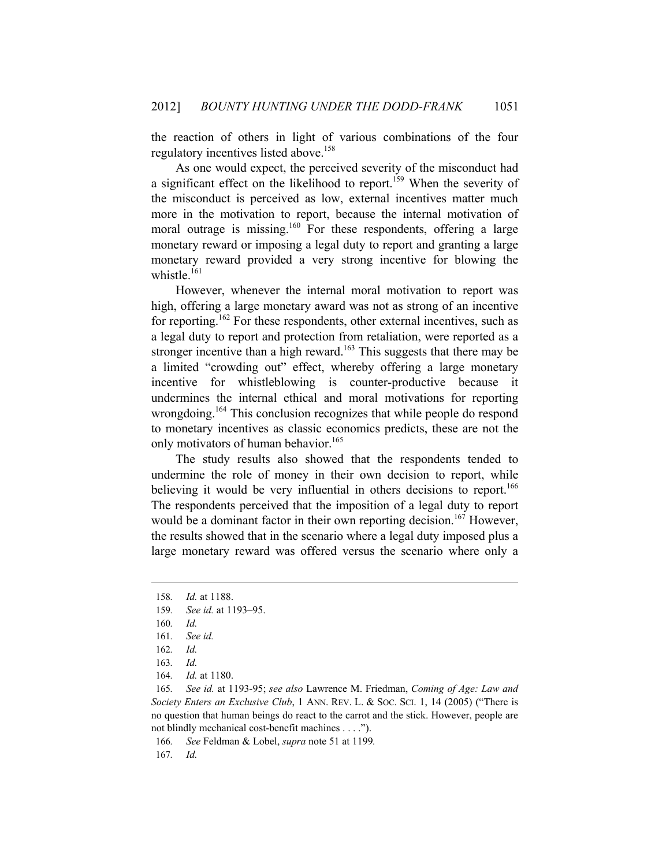the reaction of others in light of various combinations of the four regulatory incentives listed above.158

As one would expect, the perceived severity of the misconduct had a significant effect on the likelihood to report.<sup>159</sup> When the severity of the misconduct is perceived as low, external incentives matter much more in the motivation to report, because the internal motivation of moral outrage is missing.<sup>160</sup> For these respondents, offering a large monetary reward or imposing a legal duty to report and granting a large monetary reward provided a very strong incentive for blowing the whistle $161$ 

However, whenever the internal moral motivation to report was high, offering a large monetary award was not as strong of an incentive for reporting.<sup>162</sup> For these respondents, other external incentives, such as a legal duty to report and protection from retaliation, were reported as a stronger incentive than a high reward.<sup>163</sup> This suggests that there may be a limited "crowding out" effect, whereby offering a large monetary incentive for whistleblowing is counter-productive because it undermines the internal ethical and moral motivations for reporting wrongdoing.<sup>164</sup> This conclusion recognizes that while people do respond to monetary incentives as classic economics predicts, these are not the only motivators of human behavior.<sup>165</sup>

The study results also showed that the respondents tended to undermine the role of money in their own decision to report, while believing it would be very influential in others decisions to report.<sup>166</sup> The respondents perceived that the imposition of a legal duty to report would be a dominant factor in their own reporting decision.<sup>167</sup> However, the results showed that in the scenario where a legal duty imposed plus a large monetary reward was offered versus the scenario where only a

 $\overline{a}$ 

164*. Id.* at 1180.

165*. See id.* at 1193-95; *see also* Lawrence M. Friedman, *Coming of Age: Law and Society Enters an Exclusive Club*, 1 ANN. REV. L. & Soc. SCI. 1, 14 (2005) ("There is no question that human beings do react to the carrot and the stick. However, people are not blindly mechanical cost-benefit machines . . . .").

166*. See* Feldman & Lobel, *supra* note 51 at 1199*.*

167*. Id.*

<sup>158</sup>*. Id.* at 1188.

<sup>159</sup>*. See id.* at 1193–95.

<sup>160</sup>*. Id.*

<sup>161</sup>*. See id.*

<sup>162</sup>*. Id.*

<sup>163</sup>*. Id.*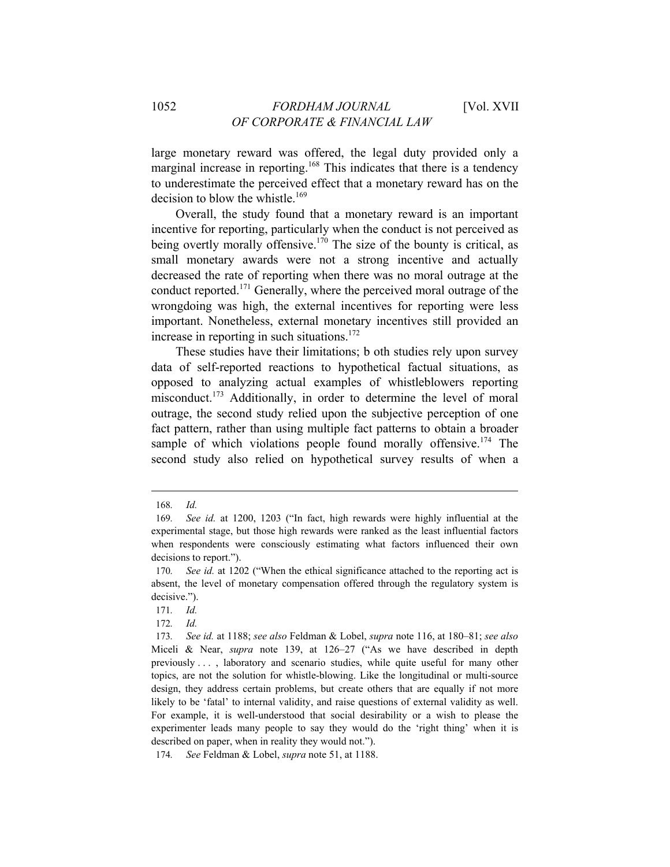large monetary reward was offered, the legal duty provided only a marginal increase in reporting.<sup>168</sup> This indicates that there is a tendency to underestimate the perceived effect that a monetary reward has on the decision to blow the whistle. $169$ 

Overall, the study found that a monetary reward is an important incentive for reporting, particularly when the conduct is not perceived as being overtly morally offensive.<sup>170</sup> The size of the bounty is critical, as small monetary awards were not a strong incentive and actually decreased the rate of reporting when there was no moral outrage at the conduct reported.171 Generally, where the perceived moral outrage of the wrongdoing was high, the external incentives for reporting were less important. Nonetheless, external monetary incentives still provided an increase in reporting in such situations. $172$ 

These studies have their limitations; b oth studies rely upon survey data of self-reported reactions to hypothetical factual situations, as opposed to analyzing actual examples of whistleblowers reporting misconduct.<sup>173</sup> Additionally, in order to determine the level of moral outrage, the second study relied upon the subjective perception of one fact pattern, rather than using multiple fact patterns to obtain a broader sample of which violations people found morally offensive.<sup>174</sup> The second study also relied on hypothetical survey results of when a

 $\overline{a}$ 

174*. See* Feldman & Lobel, *supra* note 51, at 1188.

<sup>168</sup>*. Id.*

<sup>169</sup>*. See id.* at 1200, 1203 ("In fact, high rewards were highly influential at the experimental stage, but those high rewards were ranked as the least influential factors when respondents were consciously estimating what factors influenced their own decisions to report.").

<sup>170</sup>*. See id.* at 1202 ("When the ethical significance attached to the reporting act is absent, the level of monetary compensation offered through the regulatory system is decisive.").

<sup>171</sup>*. Id.*

<sup>172</sup>*. Id.*

<sup>173</sup>*. See id.* at 1188; *see also* Feldman & Lobel, *supra* note 116, at 180–81; *see also*  Miceli & Near, *supra* note 139, at 126–27 ("As we have described in depth previously . . . , laboratory and scenario studies, while quite useful for many other topics, are not the solution for whistle-blowing. Like the longitudinal or multi-source design, they address certain problems, but create others that are equally if not more likely to be 'fatal' to internal validity, and raise questions of external validity as well. For example, it is well-understood that social desirability or a wish to please the experimenter leads many people to say they would do the 'right thing' when it is described on paper, when in reality they would not.").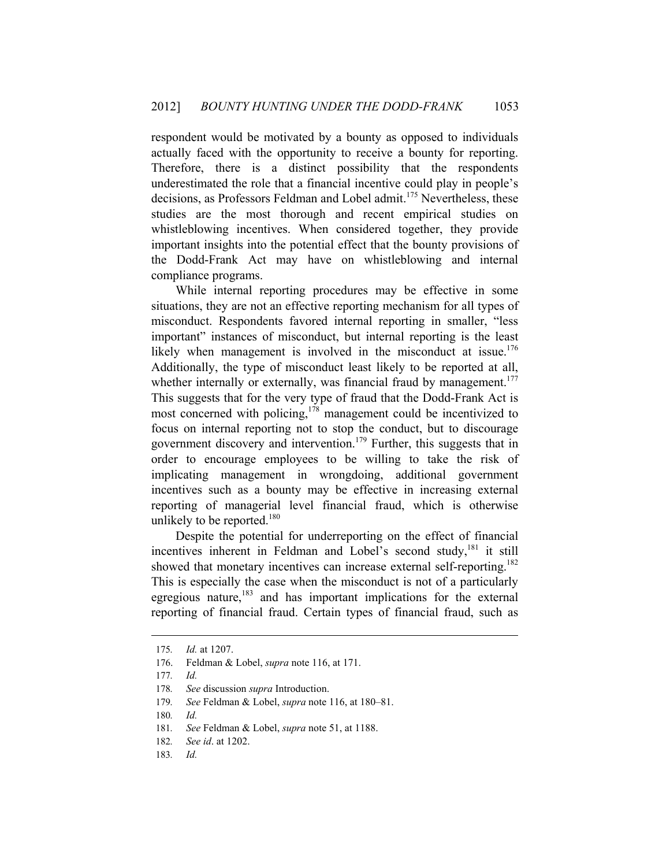respondent would be motivated by a bounty as opposed to individuals actually faced with the opportunity to receive a bounty for reporting. Therefore, there is a distinct possibility that the respondents underestimated the role that a financial incentive could play in people's decisions, as Professors Feldman and Lobel admit.<sup>175</sup> Nevertheless, these studies are the most thorough and recent empirical studies on whistleblowing incentives. When considered together, they provide important insights into the potential effect that the bounty provisions of the Dodd-Frank Act may have on whistleblowing and internal compliance programs.

While internal reporting procedures may be effective in some situations, they are not an effective reporting mechanism for all types of misconduct. Respondents favored internal reporting in smaller, "less important" instances of misconduct, but internal reporting is the least likely when management is involved in the misconduct at issue.<sup>176</sup> Additionally, the type of misconduct least likely to be reported at all, whether internally or externally, was financial fraud by management.<sup>177</sup> This suggests that for the very type of fraud that the Dodd-Frank Act is most concerned with policing,  $178$  management could be incentivized to focus on internal reporting not to stop the conduct, but to discourage government discovery and intervention.<sup>179</sup> Further, this suggests that in order to encourage employees to be willing to take the risk of implicating management in wrongdoing, additional government incentives such as a bounty may be effective in increasing external reporting of managerial level financial fraud, which is otherwise unlikely to be reported.<sup>180</sup>

Despite the potential for underreporting on the effect of financial incentives inherent in Feldman and Lobel's second study, $181$  it still showed that monetary incentives can increase external self-reporting.<sup>182</sup> This is especially the case when the misconduct is not of a particularly egregious nature, $183$  and has important implications for the external reporting of financial fraud. Certain types of financial fraud, such as

<sup>175</sup>*. Id.* at 1207.

<sup>176.</sup> Feldman & Lobel, *supra* note 116, at 171.

<sup>177</sup>*. Id.*

<sup>178</sup>*. See* discussion *supra* Introduction.

<sup>179</sup>*. See* Feldman & Lobel, *supra* note 116, at 180–81.

<sup>180</sup>*. Id.*

<sup>181</sup>*. See* Feldman & Lobel, *supra* note 51, at 1188.

<sup>182</sup>*. See id*. at 1202.

<sup>183</sup>*. Id.*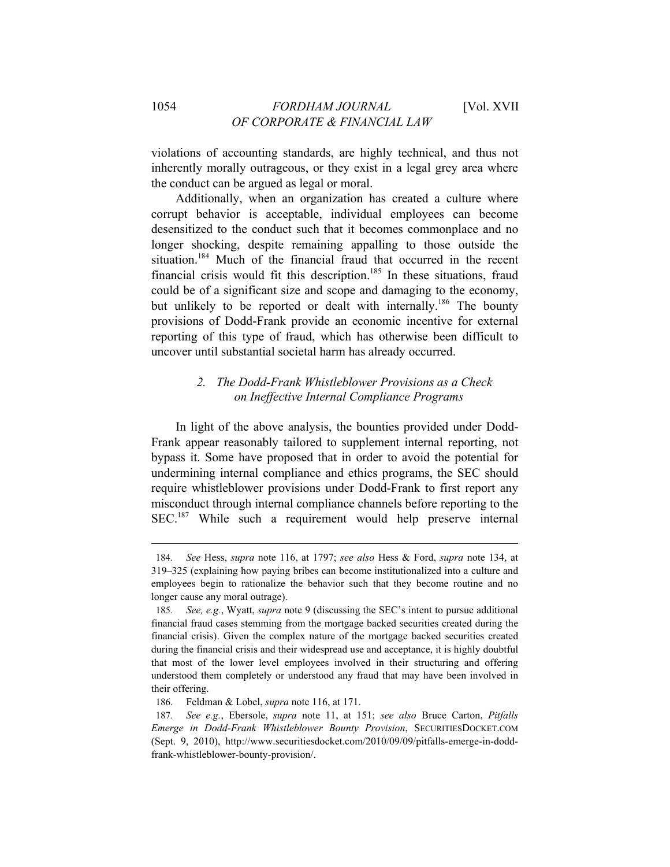violations of accounting standards, are highly technical, and thus not inherently morally outrageous, or they exist in a legal grey area where the conduct can be argued as legal or moral.

Additionally, when an organization has created a culture where corrupt behavior is acceptable, individual employees can become desensitized to the conduct such that it becomes commonplace and no longer shocking, despite remaining appalling to those outside the situation.<sup>184</sup> Much of the financial fraud that occurred in the recent financial crisis would fit this description.<sup>185</sup> In these situations, fraud could be of a significant size and scope and damaging to the economy, but unlikely to be reported or dealt with internally.<sup>186</sup> The bounty provisions of Dodd-Frank provide an economic incentive for external reporting of this type of fraud, which has otherwise been difficult to uncover until substantial societal harm has already occurred.

## *2. The Dodd-Frank Whistleblower Provisions as a Check on Ineffective Internal Compliance Programs*

In light of the above analysis, the bounties provided under Dodd-Frank appear reasonably tailored to supplement internal reporting, not bypass it. Some have proposed that in order to avoid the potential for undermining internal compliance and ethics programs, the SEC should require whistleblower provisions under Dodd-Frank to first report any misconduct through internal compliance channels before reporting to the SEC.<sup>187</sup> While such a requirement would help preserve internal

<sup>184</sup>*. See* Hess, *supra* note 116, at 1797; *see also* Hess & Ford, *supra* note 134, at 319–325 (explaining how paying bribes can become institutionalized into a culture and employees begin to rationalize the behavior such that they become routine and no longer cause any moral outrage).

<sup>185</sup>*. See, e.g.*, Wyatt, *supra* note 9 (discussing the SEC's intent to pursue additional financial fraud cases stemming from the mortgage backed securities created during the financial crisis). Given the complex nature of the mortgage backed securities created during the financial crisis and their widespread use and acceptance, it is highly doubtful that most of the lower level employees involved in their structuring and offering understood them completely or understood any fraud that may have been involved in their offering.

<sup>186.</sup> Feldman & Lobel, *supra* note 116, at 171.

<sup>187</sup>*. See e.g.*, Ebersole, *supra* note 11, at 151; *see also* Bruce Carton, *Pitfalls Emerge in Dodd-Frank Whistleblower Bounty Provision*, SECURITIESDOCKET.COM (Sept. 9, 2010), http://www.securitiesdocket.com/2010/09/09/pitfalls-emerge-in-doddfrank-whistleblower-bounty-provision/.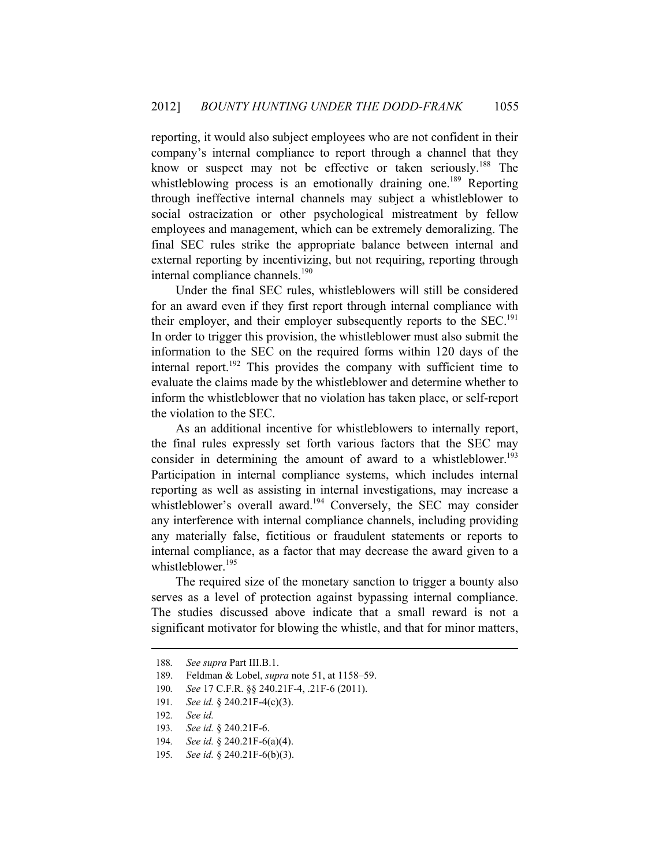reporting, it would also subject employees who are not confident in their company's internal compliance to report through a channel that they know or suspect may not be effective or taken seriously.<sup>188</sup> The whistleblowing process is an emotionally draining one.<sup>189</sup> Reporting through ineffective internal channels may subject a whistleblower to social ostracization or other psychological mistreatment by fellow employees and management, which can be extremely demoralizing. The final SEC rules strike the appropriate balance between internal and external reporting by incentivizing, but not requiring, reporting through internal compliance channels.<sup>190</sup>

Under the final SEC rules, whistleblowers will still be considered for an award even if they first report through internal compliance with their employer, and their employer subsequently reports to the  $SEC.^{191}$ In order to trigger this provision, the whistleblower must also submit the information to the SEC on the required forms within 120 days of the internal report.<sup>192</sup> This provides the company with sufficient time to evaluate the claims made by the whistleblower and determine whether to inform the whistleblower that no violation has taken place, or self-report the violation to the SEC.

As an additional incentive for whistleblowers to internally report, the final rules expressly set forth various factors that the SEC may consider in determining the amount of award to a whistleblower.<sup>193</sup> Participation in internal compliance systems, which includes internal reporting as well as assisting in internal investigations, may increase a whistleblower's overall award.<sup>194</sup> Conversely, the SEC may consider any interference with internal compliance channels, including providing any materially false, fictitious or fraudulent statements or reports to internal compliance, as a factor that may decrease the award given to a whistleblower.<sup>195</sup>

The required size of the monetary sanction to trigger a bounty also serves as a level of protection against bypassing internal compliance. The studies discussed above indicate that a small reward is not a significant motivator for blowing the whistle, and that for minor matters,

<sup>188</sup>*. See supra* Part III.B.1.

<sup>189.</sup> Feldman & Lobel, *supra* note 51, at 1158–59.

<sup>190</sup>*. See* 17 C.F.R. §§ 240.21F-4, .21F-6 (2011).

<sup>191</sup>*. See id.* § 240.21F-4(c)(3).

<sup>192</sup>*. See id.*

<sup>193</sup>*. See id.* § 240.21F-6.

<sup>194</sup>*. See id.* § 240.21F-6(a)(4).

<sup>195</sup>*. See id.* § 240.21F-6(b)(3).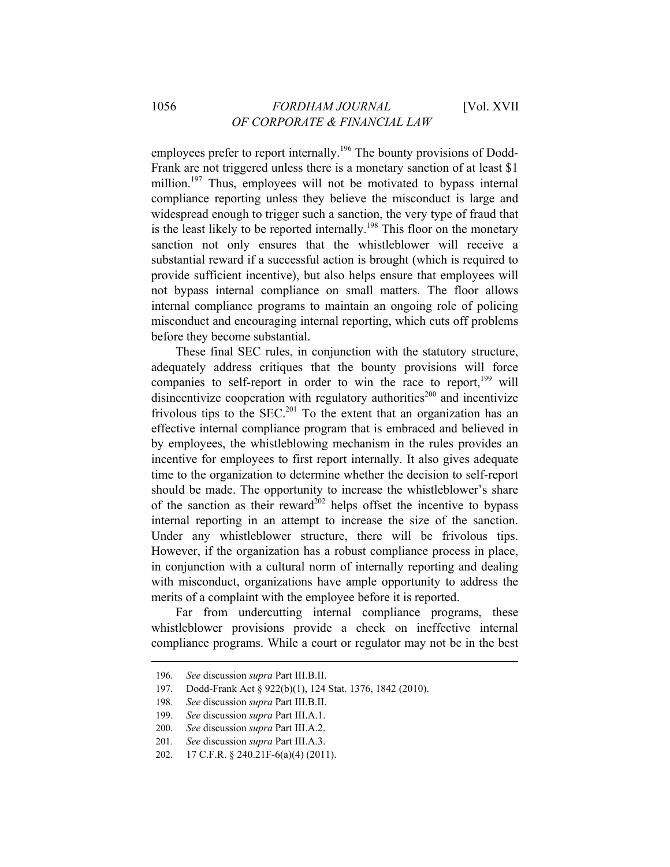employees prefer to report internally.<sup>196</sup> The bounty provisions of Dodd-Frank are not triggered unless there is a monetary sanction of at least \$1 million.<sup>197</sup> Thus, employees will not be motivated to bypass internal compliance reporting unless they believe the misconduct is large and widespread enough to trigger such a sanction, the very type of fraud that is the least likely to be reported internally.<sup>198</sup> This floor on the monetary sanction not only ensures that the whistleblower will receive a substantial reward if a successful action is brought (which is required to provide sufficient incentive), but also helps ensure that employees will not bypass internal compliance on small matters. The floor allows internal compliance programs to maintain an ongoing role of policing misconduct and encouraging internal reporting, which cuts off problems before they become substantial.

These final SEC rules, in conjunction with the statutory structure, adequately address critiques that the bounty provisions will force companies to self-report in order to win the race to report, $199$  will disincentivize cooperation with regulatory authorities<sup>200</sup> and incentivize frivolous tips to the SEC.<sup>201</sup> To the extent that an organization has an effective internal compliance program that is embraced and believed in by employees, the whistleblowing mechanism in the rules provides an incentive for employees to first report internally. It also gives adequate time to the organization to determine whether the decision to self-report should be made. The opportunity to increase the whistleblower's share of the sanction as their reward<sup>202</sup> helps offset the incentive to bypass internal reporting in an attempt to increase the size of the sanction. Under any whistleblower structure, there will be frivolous tips. However, if the organization has a robust compliance process in place, in conjunction with a cultural norm of internally reporting and dealing with misconduct, organizations have ample opportunity to address the merits of a complaint with the employee before it is reported.

Far from undercutting internal compliance programs, these whistleblower provisions provide a check on ineffective internal compliance programs. While a court or regulator may not be in the best

<sup>196</sup>*. See* discussion *supra* Part III.B.II.

<sup>197.</sup> Dodd-Frank Act § 922(b)(1), 124 Stat. 1376, 1842 (2010).

<sup>198</sup>*. See* discussion *supra* Part III.B.II.

<sup>199</sup>*. See* discussion *supra* Part III.A.1.

<sup>200</sup>*. See* discussion *supra* Part III.A.2.

<sup>201</sup>*. See* discussion *supra* Part III.A.3.

<sup>202. 17</sup> C.F.R. § 240.21F-6(a)(4) (2011).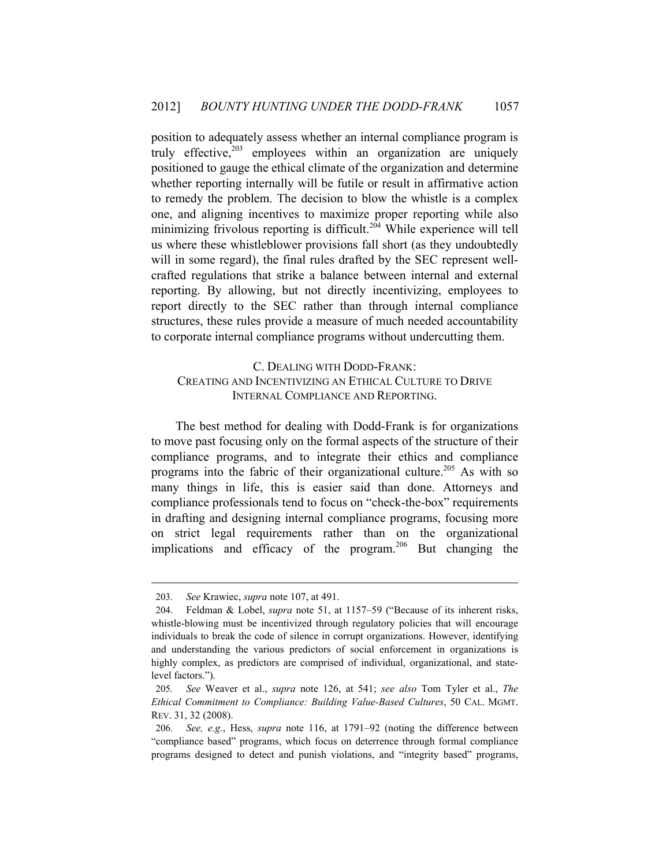position to adequately assess whether an internal compliance program is truly effective, $203$  employees within an organization are uniquely positioned to gauge the ethical climate of the organization and determine whether reporting internally will be futile or result in affirmative action to remedy the problem. The decision to blow the whistle is a complex one, and aligning incentives to maximize proper reporting while also minimizing frivolous reporting is difficult.<sup>204</sup> While experience will tell us where these whistleblower provisions fall short (as they undoubtedly will in some regard), the final rules drafted by the SEC represent wellcrafted regulations that strike a balance between internal and external reporting. By allowing, but not directly incentivizing, employees to report directly to the SEC rather than through internal compliance structures, these rules provide a measure of much needed accountability to corporate internal compliance programs without undercutting them.

## C. DEALING WITH DODD-FRANK: CREATING AND INCENTIVIZING AN ETHICAL CULTURE TO DRIVE INTERNAL COMPLIANCE AND REPORTING.

The best method for dealing with Dodd-Frank is for organizations to move past focusing only on the formal aspects of the structure of their compliance programs, and to integrate their ethics and compliance programs into the fabric of their organizational culture.<sup>205</sup> As with so many things in life, this is easier said than done. Attorneys and compliance professionals tend to focus on "check-the-box" requirements in drafting and designing internal compliance programs, focusing more on strict legal requirements rather than on the organizational implications and efficacy of the program.<sup>206</sup> But changing the

<sup>203</sup>*. See* Krawiec, *supra* note 107, at 491.

<sup>204.</sup> Feldman & Lobel, *supra* note 51, at 1157–59 ("Because of its inherent risks, whistle-blowing must be incentivized through regulatory policies that will encourage individuals to break the code of silence in corrupt organizations. However, identifying and understanding the various predictors of social enforcement in organizations is highly complex, as predictors are comprised of individual, organizational, and statelevel factors.").

<sup>205</sup>*. See* Weaver et al., *supra* note 126, at 541; *see also* Tom Tyler et al., *The Ethical Commitment to Compliance: Building Value-Based Cultures*, 50 CAL. MGMT. REV. 31, 32 (2008).

<sup>206</sup>*. See, e.g.*, Hess, *supra* note 116, at 1791–92 (noting the difference between "compliance based" programs, which focus on deterrence through formal compliance programs designed to detect and punish violations, and "integrity based" programs,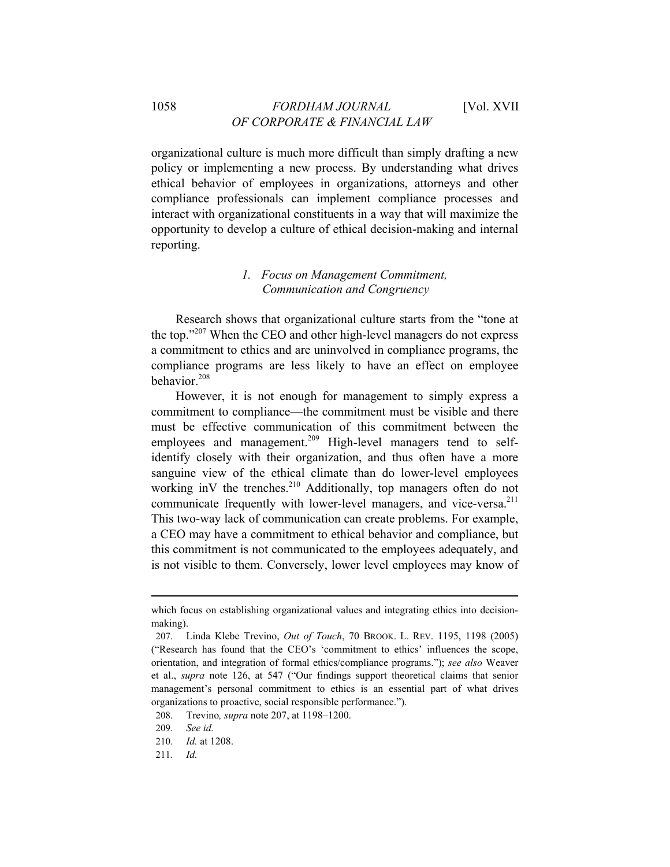organizational culture is much more difficult than simply drafting a new policy or implementing a new process. By understanding what drives ethical behavior of employees in organizations, attorneys and other compliance professionals can implement compliance processes and interact with organizational constituents in a way that will maximize the opportunity to develop a culture of ethical decision-making and internal reporting.

### *1. Focus on Management Commitment, Communication and Congruency*

Research shows that organizational culture starts from the "tone at the top."207 When the CEO and other high-level managers do not express a commitment to ethics and are uninvolved in compliance programs, the compliance programs are less likely to have an effect on employee behavior.<sup>208</sup>

However, it is not enough for management to simply express a commitment to compliance—the commitment must be visible and there must be effective communication of this commitment between the employees and management.<sup>209</sup> High-level managers tend to selfidentify closely with their organization, and thus often have a more sanguine view of the ethical climate than do lower-level employees working inV the trenches.<sup>210</sup> Additionally, top managers often do not communicate frequently with lower-level managers, and vice-versa.<sup>211</sup> This two-way lack of communication can create problems. For example, a CEO may have a commitment to ethical behavior and compliance, but this commitment is not communicated to the employees adequately, and is not visible to them. Conversely, lower level employees may know of

which focus on establishing organizational values and integrating ethics into decisionmaking).

<sup>207.</sup> Linda Klebe Trevino, *Out of Touch*, 70 BROOK. L. REV. 1195, 1198 (2005) ("Research has found that the CEO's 'commitment to ethics' influences the scope, orientation, and integration of formal ethics/compliance programs."); *see also* Weaver et al., *supra* note 126, at 547 ("Our findings support theoretical claims that senior management's personal commitment to ethics is an essential part of what drives organizations to proactive, social responsible performance.").

<sup>208.</sup> Trevino*, supra* note 207, at 1198–1200.

<sup>209</sup>*. See id.*

<sup>210</sup>*. Id.* at 1208.

<sup>211</sup>*. Id.*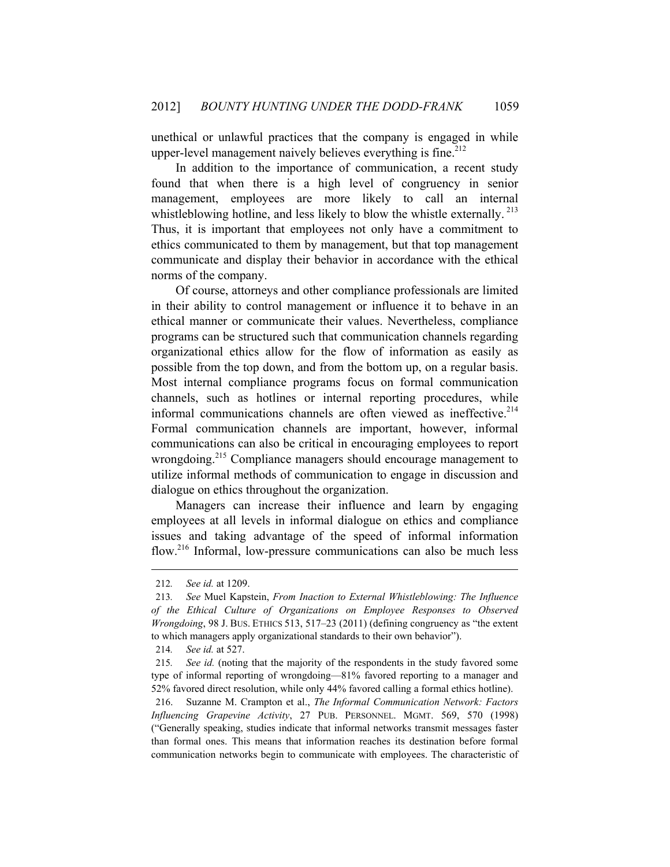unethical or unlawful practices that the company is engaged in while upper-level management naively believes everything is fine.<sup>212</sup>

In addition to the importance of communication, a recent study found that when there is a high level of congruency in senior management, employees are more likely to call an internal whistleblowing hotline, and less likely to blow the whistle externally.<sup>213</sup> Thus, it is important that employees not only have a commitment to ethics communicated to them by management, but that top management communicate and display their behavior in accordance with the ethical norms of the company.

Of course, attorneys and other compliance professionals are limited in their ability to control management or influence it to behave in an ethical manner or communicate their values. Nevertheless, compliance programs can be structured such that communication channels regarding organizational ethics allow for the flow of information as easily as possible from the top down, and from the bottom up, on a regular basis. Most internal compliance programs focus on formal communication channels, such as hotlines or internal reporting procedures, while informal communications channels are often viewed as ineffective. $2^{14}$ Formal communication channels are important, however, informal communications can also be critical in encouraging employees to report wrongdoing.<sup>215</sup> Compliance managers should encourage management to utilize informal methods of communication to engage in discussion and dialogue on ethics throughout the organization.

Managers can increase their influence and learn by engaging employees at all levels in informal dialogue on ethics and compliance issues and taking advantage of the speed of informal information flow.<sup>216</sup> Informal, low-pressure communications can also be much less

<sup>212</sup>*. See id.* at 1209.

<sup>213</sup>*. See* Muel Kapstein, *From Inaction to External Whistleblowing: The Influence of the Ethical Culture of Organizations on Employee Responses to Observed Wrongdoing*, 98 J. Bus. ETHICS 513, 517–23 (2011) (defining congruency as "the extent to which managers apply organizational standards to their own behavior").

<sup>214</sup>*. See id.* at 527.

<sup>215</sup>*. See id.* (noting that the majority of the respondents in the study favored some type of informal reporting of wrongdoing—81% favored reporting to a manager and 52% favored direct resolution, while only 44% favored calling a formal ethics hotline).

<sup>216.</sup> Suzanne M. Crampton et al., *The Informal Communication Network: Factors Influencing Grapevine Activity*, 27 PUB. PERSONNEL. MGMT. 569, 570 (1998) ("Generally speaking, studies indicate that informal networks transmit messages faster than formal ones. This means that information reaches its destination before formal communication networks begin to communicate with employees. The characteristic of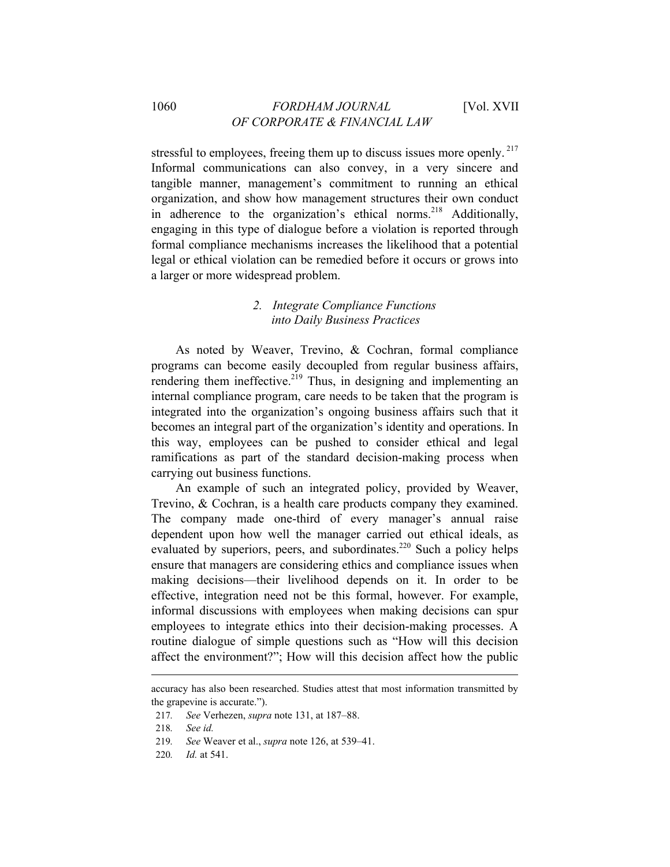stressful to employees, freeing them up to discuss issues more openly.<sup>217</sup> Informal communications can also convey, in a very sincere and tangible manner, management's commitment to running an ethical organization, and show how management structures their own conduct in adherence to the organization's ethical norms.<sup>218</sup> Additionally, engaging in this type of dialogue before a violation is reported through formal compliance mechanisms increases the likelihood that a potential legal or ethical violation can be remedied before it occurs or grows into a larger or more widespread problem.

## *2. Integrate Compliance Functions into Daily Business Practices*

As noted by Weaver, Trevino, & Cochran, formal compliance programs can become easily decoupled from regular business affairs, rendering them ineffective.<sup>219</sup> Thus, in designing and implementing an internal compliance program, care needs to be taken that the program is integrated into the organization's ongoing business affairs such that it becomes an integral part of the organization's identity and operations. In this way, employees can be pushed to consider ethical and legal ramifications as part of the standard decision-making process when carrying out business functions.

An example of such an integrated policy, provided by Weaver, Trevino, & Cochran, is a health care products company they examined. The company made one-third of every manager's annual raise dependent upon how well the manager carried out ethical ideals, as evaluated by superiors, peers, and subordinates.<sup>220</sup> Such a policy helps ensure that managers are considering ethics and compliance issues when making decisions—their livelihood depends on it. In order to be effective, integration need not be this formal, however. For example, informal discussions with employees when making decisions can spur employees to integrate ethics into their decision-making processes. A routine dialogue of simple questions such as "How will this decision affect the environment?"; How will this decision affect how the public

accuracy has also been researched. Studies attest that most information transmitted by the grapevine is accurate.").

<sup>217</sup>*. See* Verhezen, *supra* note 131, at 187–88.

<sup>218</sup>*. See id.*

<sup>219</sup>*. See* Weaver et al., *supra* note 126, at 539–41.

<sup>220</sup>*. Id.* at 541.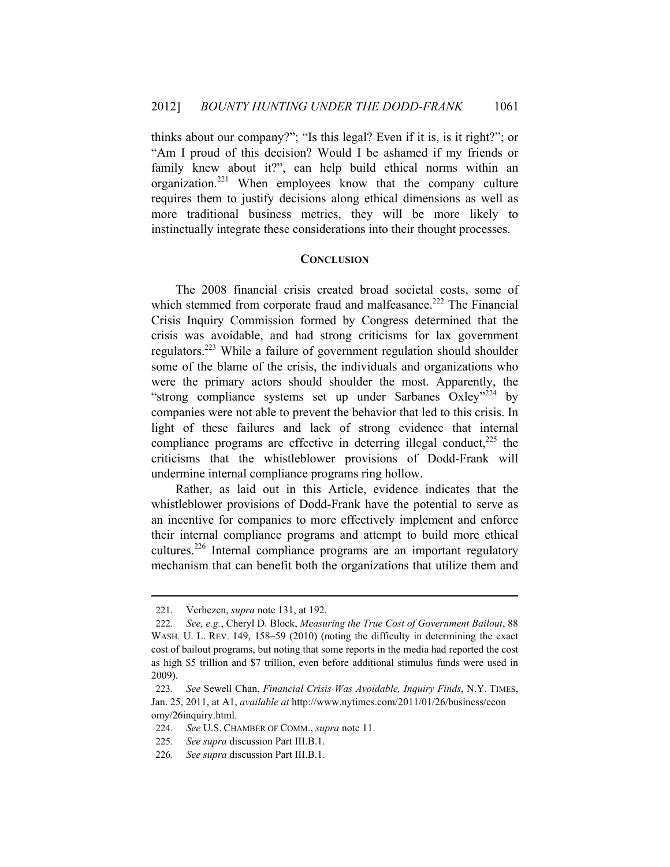thinks about our company?"; "Is this legal? Even if it is, is it right?"; or "Am I proud of this decision? Would I be ashamed if my friends or family knew about it?", can help build ethical norms within an organization.<sup>221</sup> When employees know that the company culture requires them to justify decisions along ethical dimensions as well as more traditional business metrics, they will be more likely to instinctually integrate these considerations into their thought processes.

#### **CONCLUSION**

The 2008 financial crisis created broad societal costs, some of which stemmed from corporate fraud and malfeasance.<sup>222</sup> The Financial Crisis Inquiry Commission formed by Congress determined that the crisis was avoidable, and had strong criticisms for lax government regulators.223 While a failure of government regulation should shoulder some of the blame of the crisis, the individuals and organizations who were the primary actors should shoulder the most. Apparently, the "strong compliance systems set up under Sarbanes Oxley"224 by companies were not able to prevent the behavior that led to this crisis. In light of these failures and lack of strong evidence that internal compliance programs are effective in deterring illegal conduct, $^{225}$  the criticisms that the whistleblower provisions of Dodd-Frank will undermine internal compliance programs ring hollow.

Rather, as laid out in this Article, evidence indicates that the whistleblower provisions of Dodd-Frank have the potential to serve as an incentive for companies to more effectively implement and enforce their internal compliance programs and attempt to build more ethical cultures.<sup>226</sup> Internal compliance programs are an important regulatory mechanism that can benefit both the organizations that utilize them and

<sup>221.</sup> Verhezen, *supra* note 131, at 192.

<sup>222</sup>*. See, e.g.*, Cheryl D. Block, *Measuring the True Cost of Government Bailout*, 88 WASH. U. L. REV. 149, 158–59 (2010) (noting the difficulty in determining the exact cost of bailout programs, but noting that some reports in the media had reported the cost as high \$5 trillion and \$7 trillion, even before additional stimulus funds were used in 2009).

<sup>223</sup>*. See* Sewell Chan, *Financial Crisis Was Avoidable, Inquiry Finds*, N.Y. TIMES, Jan. 25, 2011, at A1, *available at* http://www.nytimes.com/2011/01/26/business/econ omy/26inquiry.html.

<sup>224</sup>*. See* U.S. CHAMBER OF COMM., *supra* note 11.

<sup>225</sup>*. See supra* discussion Part III.B.1.

<sup>226</sup>*. See supra* discussion Part III.B.1.